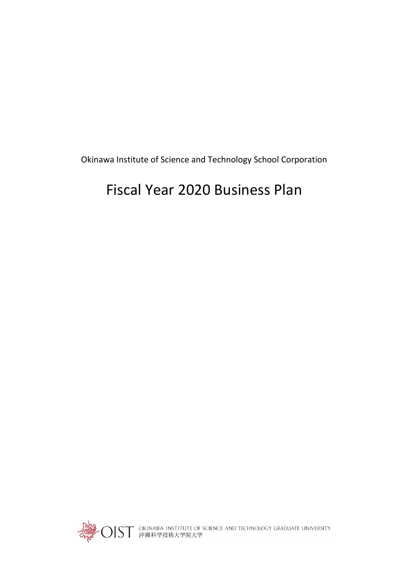Okinawa Institute of Science and Technology School Corporation

# Fiscal Year 2020 Business Plan

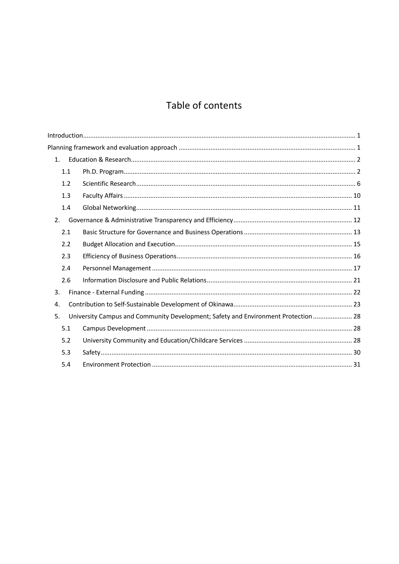## Table of contents

| 1.  |                                                                                    |  |
|-----|------------------------------------------------------------------------------------|--|
| 1.1 |                                                                                    |  |
| 1.2 |                                                                                    |  |
| 1.3 |                                                                                    |  |
| 1.4 |                                                                                    |  |
| 2.  |                                                                                    |  |
| 2.1 |                                                                                    |  |
| 2.2 |                                                                                    |  |
| 2.3 |                                                                                    |  |
| 2.4 |                                                                                    |  |
| 2.6 |                                                                                    |  |
| 3.  |                                                                                    |  |
| 4.  |                                                                                    |  |
| 5.  | University Campus and Community Development; Safety and Environment Protection  28 |  |
| 5.1 |                                                                                    |  |
| 5.2 |                                                                                    |  |
| 5.3 |                                                                                    |  |
| 5.4 |                                                                                    |  |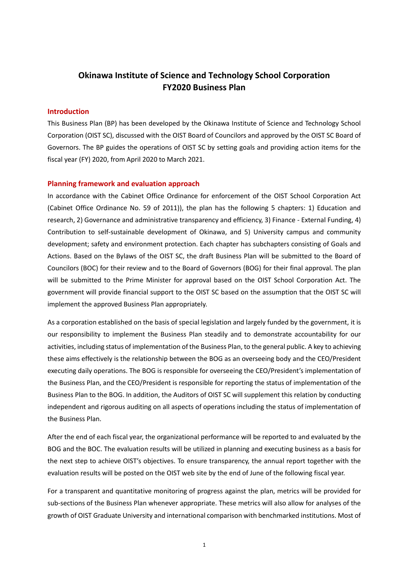## **Okinawa Institute of Science and Technology School Corporation FY2020 Business Plan**

## <span id="page-2-0"></span>**Introduction**

This Business Plan (BP) has been developed by the Okinawa Institute of Science and Technology School Corporation (OIST SC), discussed with the OIST Board of Councilors and approved by the OIST SC Board of Governors. The BP guides the operations of OIST SC by setting goals and providing action items for the fiscal year (FY) 2020, from April 2020 to March 2021.

#### <span id="page-2-1"></span>**Planning framework and evaluation approach**

In accordance with the Cabinet Office Ordinance for enforcement of the OIST School Corporation Act (Cabinet Office Ordinance No. 59 of 2011)), the plan has the following 5 chapters: 1) Education and research, 2) Governance and administrative transparency and efficiency, 3) Finance - External Funding, 4) Contribution to self-sustainable development of Okinawa, and 5) University campus and community development; safety and environment protection. Each chapter has subchapters consisting of Goals and Actions. Based on the Bylaws of the OIST SC, the draft Business Plan will be submitted to the Board of Councilors (BOC) for their review and to the Board of Governors (BOG) for their final approval. The plan will be submitted to the Prime Minister for approval based on the OIST School Corporation Act. The government will provide financial support to the OIST SC based on the assumption that the OIST SC will implement the approved Business Plan appropriately.

As a corporation established on the basis of special legislation and largely funded by the government, it is our responsibility to implement the Business Plan steadily and to demonstrate accountability for our activities, including status of implementation of the Business Plan, to the general public. A key to achieving these aims effectively is the relationship between the BOG as an overseeing body and the CEO/President executing daily operations. The BOG is responsible for overseeing the CEO/President's implementation of the Business Plan, and the CEO/President is responsible for reporting the status of implementation of the Business Plan to the BOG. In addition, the Auditors of OIST SC will supplement this relation by conducting independent and rigorous auditing on all aspects of operations including the status of implementation of the Business Plan.

After the end of each fiscal year, the organizational performance will be reported to and evaluated by the BOG and the BOC. The evaluation results will be utilized in planning and executing business as a basis for the next step to achieve OIST's objectives. To ensure transparency, the annual report together with the evaluation results will be posted on the OIST web site by the end of June of the following fiscal year.

For a transparent and quantitative monitoring of progress against the plan, metrics will be provided for sub-sections of the Business Plan whenever appropriate. These metrics will also allow for analyses of the growth of OIST Graduate University and international comparison with benchmarked institutions. Most of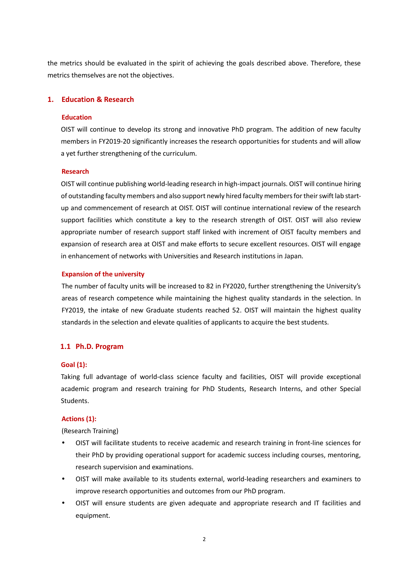the metrics should be evaluated in the spirit of achieving the goals described above. Therefore, these metrics themselves are not the objectives.

## <span id="page-3-0"></span>**1. Education & Research**

## **Education**

OIST will continue to develop its strong and innovative PhD program. The addition of new faculty members in FY2019-20 significantly increases the research opportunities for students and will allow a yet further strengthening of the curriculum.

## **Research**

OIST will continue publishing world-leading research in high-impact journals. OIST will continue hiring of outstanding faculty members and also support newly hired faculty members for their swift lab startup and commencement of research at OIST. OIST will continue international review of the research support facilities which constitute a key to the research strength of OIST. OIST will also review appropriate number of research support staff linked with increment of OIST faculty members and expansion of research area at OIST and make efforts to secure excellent resources. OIST will engage in enhancement of networks with Universities and Research institutions in Japan.

## **Expansion of the university**

The number of faculty units will be increased to 82 in FY2020, further strengthening the University's areas of research competence while maintaining the highest quality standards in the selection. In FY2019, the intake of new Graduate students reached 52. OIST will maintain the highest quality standards in the selection and elevate qualities of applicants to acquire the best students.

## <span id="page-3-1"></span>**1.1 Ph.D. Program**

## **Goal (1):**

Taking full advantage of world-class science faculty and facilities, OIST will provide exceptional academic program and research training for PhD Students, Research Interns, and other Special Students.

## **Actions (1):**

(Research Training)

- OIST will facilitate students to receive academic and research training in front-line sciences for their PhD by providing operational support for academic success including courses, mentoring, research supervision and examinations.
- OIST will make available to its students external, world-leading researchers and examiners to improve research opportunities and outcomes from our PhD program.
- OIST will ensure students are given adequate and appropriate research and IT facilities and equipment.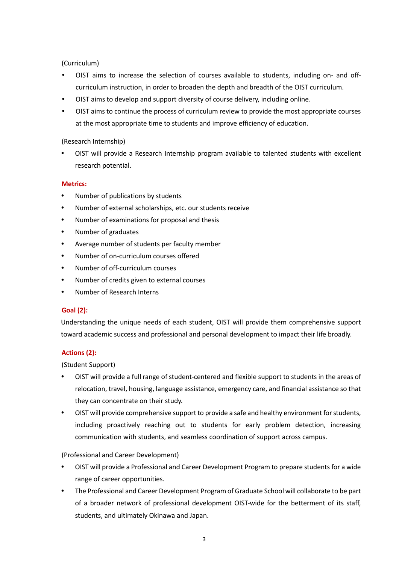(Curriculum)

- OIST aims to increase the selection of courses available to students, including on- and offcurriculum instruction, in order to broaden the depth and breadth of the OIST curriculum.
- OIST aims to develop and support diversity of course delivery, including online.
- OIST aims to continue the process of curriculum review to provide the most appropriate courses at the most appropriate time to students and improve efficiency of education.

(Research Internship)

 OIST will provide a Research Internship program available to talented students with excellent research potential.

## **Metrics:**

- Number of publications by students
- Number of external scholarships, etc. our students receive
- Number of examinations for proposal and thesis
- Number of graduates
- Average number of students per faculty member
- Number of on-curriculum courses offered
- Number of off-curriculum courses
- Number of credits given to external courses
- Number of Research Interns

## **Goal (2):**

Understanding the unique needs of each student, OIST will provide them comprehensive support toward academic success and professional and personal development to impact their life broadly.

## **Actions (2):**

(Student Support)

- OIST will provide a full range of student-centered and flexible support to students in the areas of relocation, travel, housing, language assistance, emergency care, and financial assistance so that they can concentrate on their study.
- OIST will provide comprehensive support to provide a safe and healthy environment for students, including proactively reaching out to students for early problem detection, increasing communication with students, and seamless coordination of support across campus.

## (Professional and Career Development)

- OIST will provide a Professional and Career Development Program to prepare students for a wide range of career opportunities.
- The Professional and Career Development Program of Graduate School will collaborate to be part of a broader network of professional development OIST-wide for the betterment of its staff, students, and ultimately Okinawa and Japan.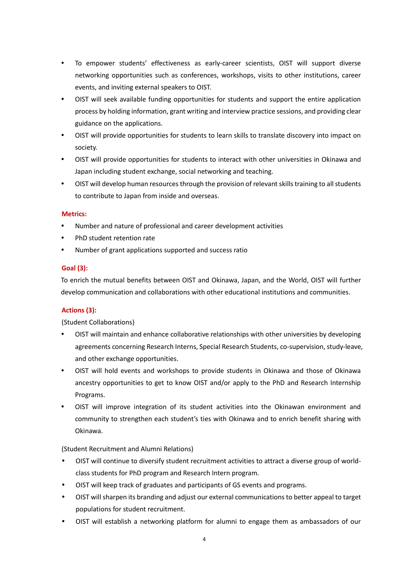- To empower students' effectiveness as early-career scientists, OIST will support diverse networking opportunities such as conferences, workshops, visits to other institutions, career events, and inviting external speakers to OIST.
- OIST will seek available funding opportunities for students and support the entire application process by holding information, grant writing and interview practice sessions, and providing clear guidance on the applications.
- OIST will provide opportunities for students to learn skills to translate discovery into impact on society.
- OIST will provide opportunities for students to interact with other universities in Okinawa and Japan including student exchange, social networking and teaching.
- OIST will develop human resources through the provision of relevant skills training to all students to contribute to Japan from inside and overseas.

## **Metrics:**

- Number and nature of professional and career development activities
- PhD student retention rate
- Number of grant applications supported and success ratio

## **Goal (3):**

To enrich the mutual benefits between OIST and Okinawa, Japan, and the World, OIST will further develop communication and collaborations with other educational institutions and communities.

## **Actions (3):**

(Student Collaborations)

- OIST will maintain and enhance collaborative relationships with other universities by developing agreements concerning Research Interns, Special Research Students, co-supervision, study-leave, and other exchange opportunities.
- OIST will hold events and workshops to provide students in Okinawa and those of Okinawa ancestry opportunities to get to know OIST and/or apply to the PhD and Research Internship Programs.
- OIST will improve integration of its student activities into the Okinawan environment and community to strengthen each student's ties with Okinawa and to enrich benefit sharing with Okinawa.

(Student Recruitment and Alumni Relations)

- OIST will continue to diversify student recruitment activities to attract a diverse group of worldclass students for PhD program and Research Intern program.
- OIST will keep track of graduates and participants of GS events and programs.
- OIST will sharpen its branding and adjust our external communications to better appeal to target populations for student recruitment.
- OIST will establish a networking platform for alumni to engage them as ambassadors of our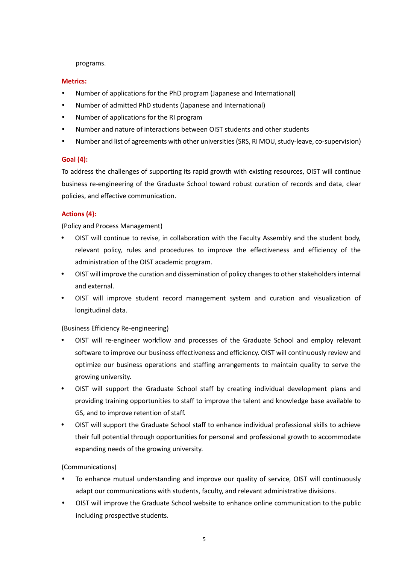programs.

## **Metrics:**

- Number of applications for the PhD program (Japanese and International)
- Number of admitted PhD students (Japanese and International)
- Number of applications for the RI program
- Number and nature of interactions between OIST students and other students
- Number and list of agreements with other universities (SRS, RI MOU, study-leave, co-supervision)

## **Goal (4):**

To address the challenges of supporting its rapid growth with existing resources, OIST will continue business re-engineering of the Graduate School toward robust curation of records and data, clear policies, and effective communication.

## **Actions (4):**

(Policy and Process Management)

- OIST will continue to revise, in collaboration with the Faculty Assembly and the student body, relevant policy, rules and procedures to improve the effectiveness and efficiency of the administration of the OIST academic program.
- OIST will improve the curation and dissemination of policy changes to other stakeholders internal and external.
- OIST will improve student record management system and curation and visualization of longitudinal data.

## (Business Efficiency Re-engineering)

- OIST will re-engineer workflow and processes of the Graduate School and employ relevant software to improve our business effectiveness and efficiency. OIST will continuously review and optimize our business operations and staffing arrangements to maintain quality to serve the growing university.
- OIST will support the Graduate School staff by creating individual development plans and providing training opportunities to staff to improve the talent and knowledge base available to GS, and to improve retention of staff.
- OIST will support the Graduate School staff to enhance individual professional skills to achieve their full potential through opportunities for personal and professional growth to accommodate expanding needs of the growing university.

## (Communications)

- To enhance mutual understanding and improve our quality of service, OIST will continuously adapt our communications with students, faculty, and relevant administrative divisions.
- OIST will improve the Graduate School website to enhance online communication to the public including prospective students.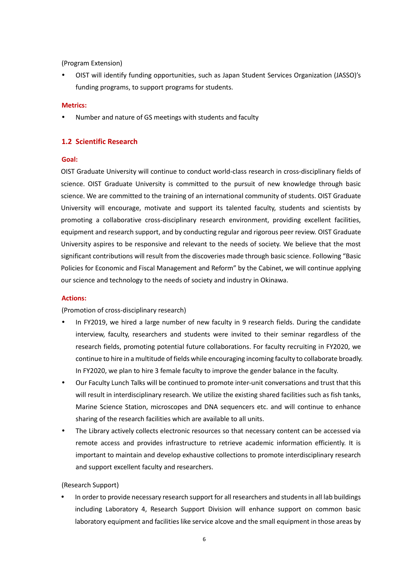(Program Extension)

 OIST will identify funding opportunities, such as Japan Student Services Organization (JASSO)'s funding programs, to support programs for students.

## **Metrics:**

<span id="page-7-0"></span>Number and nature of GS meetings with students and faculty

## **1.2 Scientific Research**

## **Goal:**

OIST Graduate University will continue to conduct world-class research in cross-disciplinary fields of science. OIST Graduate University is committed to the pursuit of new knowledge through basic science. We are committed to the training of an international community of students. OIST Graduate University will encourage, motivate and support its talented faculty, students and scientists by promoting a collaborative cross-disciplinary research environment, providing excellent facilities, equipment and research support, and by conducting regular and rigorous peer review. OIST Graduate University aspires to be responsive and relevant to the needs of society. We believe that the most significant contributions will result from the discoveries made through basic science. Following "Basic Policies for Economic and Fiscal Management and Reform" by the Cabinet, we will continue applying our science and technology to the needs of society and industry in Okinawa.

## **Actions:**

(Promotion of cross-disciplinary research)

- In FY2019, we hired a large number of new faculty in 9 research fields. During the candidate interview, faculty, researchers and students were invited to their seminar regardless of the research fields, promoting potential future collaborations. For faculty recruiting in FY2020, we continue to hire in a multitude of fields while encouraging incoming faculty to collaborate broadly. In FY2020, we plan to hire 3 female faculty to improve the gender balance in the faculty.
- Our Faculty Lunch Talks will be continued to promote inter-unit conversations and trust that this will result in interdisciplinary research. We utilize the existing shared facilities such as fish tanks, Marine Science Station, microscopes and DNA sequencers etc. and will continue to enhance sharing of the research facilities which are available to all units.
- The Library actively collects electronic resources so that necessary content can be accessed via remote access and provides infrastructure to retrieve academic information efficiently. It is important to maintain and develop exhaustive collections to promote interdisciplinary research and support excellent faculty and researchers.

## (Research Support)

 In order to provide necessary research support for all researchers and students in all lab buildings including Laboratory 4, Research Support Division will enhance support on common basic laboratory equipment and facilities like service alcove and the small equipment in those areas by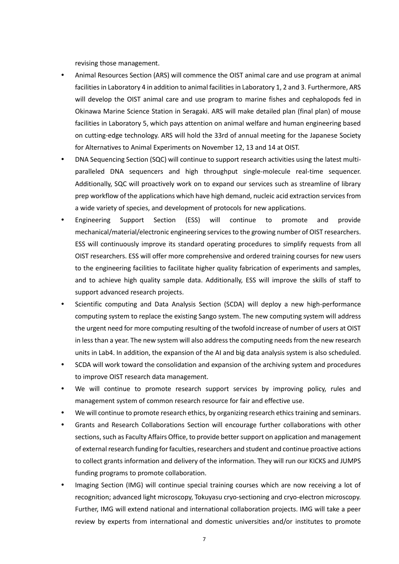revising those management.

- Animal Resources Section (ARS) will commence the OIST animal care and use program at animal facilities in Laboratory 4 in addition to animal facilities in Laboratory 1, 2 and 3. Furthermore, ARS will develop the OIST animal care and use program to marine fishes and cephalopods fed in Okinawa Marine Science Station in Seragaki. ARS will make detailed plan (final plan) of mouse facilities in Laboratory 5, which pays attention on animal welfare and human engineering based on cutting-edge technology. ARS will hold the 33rd of annual meeting for the Japanese Society for Alternatives to Animal Experiments on November 12, 13 and 14 at OIST.
- DNA Sequencing Section (SQC) will continue to support research activities using the latest multiparalleled DNA sequencers and high throughput single-molecule real-time sequencer. Additionally, SQC will proactively work on to expand our services such as streamline of library prep workflow of the applications which have high demand, nucleic acid extraction services from a wide variety of species, and development of protocols for new applications.
- Engineering Support Section (ESS) will continue to promote and provide mechanical/material/electronic engineering services to the growing number of OIST researchers. ESS will continuously improve its standard operating procedures to simplify requests from all OIST researchers. ESS will offer more comprehensive and ordered training courses for new users to the engineering facilities to facilitate higher quality fabrication of experiments and samples, and to achieve high quality sample data. Additionally, ESS will improve the skills of staff to support advanced research projects.
- Scientific computing and Data Analysis Section (SCDA) will deploy a new high-performance computing system to replace the existing Sango system. The new computing system will address the urgent need for more computing resulting of the twofold increase of number of users at OIST in less than a year. The new system will also address the computing needs from the new research units in Lab4. In addition, the expansion of the AI and big data analysis system is also scheduled.
- SCDA will work toward the consolidation and expansion of the archiving system and procedures to improve OIST research data management.
- We will continue to promote research support services by improving policy, rules and management system of common research resource for fair and effective use.
- We will continue to promote research ethics, by organizing research ethics training and seminars.
- Grants and Research Collaborations Section will encourage further collaborations with other sections, such as Faculty Affairs Office, to provide better support on application and management of external research funding for faculties, researchers and student and continue proactive actions to collect grants information and delivery of the information. They will run our KICKS and JUMPS funding programs to promote collaboration.
- Imaging Section (IMG) will continue special training courses which are now receiving a lot of recognition; advanced light microscopy, Tokuyasu cryo-sectioning and cryo-electron microscopy. Further, IMG will extend national and international collaboration projects. IMG will take a peer review by experts from international and domestic universities and/or institutes to promote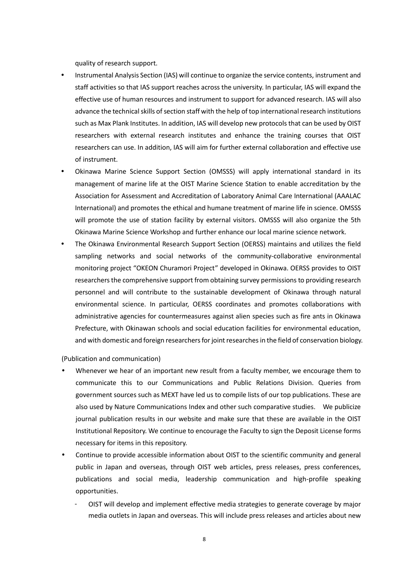quality of research support.

- Instrumental Analysis Section (IAS) will continue to organize the service contents, instrument and staff activities so that IAS support reaches across the university. In particular, IAS will expand the effective use of human resources and instrument to support for advanced research. IAS will also advance the technical skills of section staff with the help of top international research institutions such as Max Plank Institutes. In addition, IAS will develop new protocols that can be used by OIST researchers with external research institutes and enhance the training courses that OIST researchers can use. In addition, IAS will aim for further external collaboration and effective use of instrument.
- Okinawa Marine Science Support Section (OMSSS) will apply international standard in its management of marine life at the OIST Marine Science Station to enable accreditation by the Association for Assessment and Accreditation of Laboratory Animal Care International (AAALAC International) and promotes the ethical and humane treatment of marine life in science. OMSSS will promote the use of station facility by external visitors. OMSSS will also organize the 5th Okinawa Marine Science Workshop and further enhance our local marine science network.
- The Okinawa Environmental Research Support Section (OERSS) maintains and utilizes the field sampling networks and social networks of the community-collaborative environmental monitoring project "OKEON Churamori Project" developed in Okinawa. OERSS provides to OIST researchers the comprehensive support from obtaining survey permissions to providing research personnel and will contribute to the sustainable development of Okinawa through natural environmental science. In particular, OERSS coordinates and promotes collaborations with administrative agencies for countermeasures against alien species such as fire ants in Okinawa Prefecture, with Okinawan schools and social education facilities for environmental education, and with domestic and foreign researchers for joint researches in the field of conservation biology.

(Publication and communication)

- Whenever we hear of an important new result from a faculty member, we encourage them to communicate this to our Communications and Public Relations Division. Queries from government sources such as MEXT have led us to compile lists of our top publications. These are also used by Nature Communications Index and other such comparative studies. We publicize journal publication results in our website and make sure that these are available in the OIST Institutional Repository. We continue to encourage the Faculty to sign the Deposit License forms necessary for items in this repository.
- Continue to provide accessible information about OIST to the scientific community and general public in Japan and overseas, through OIST web articles, press releases, press conferences, publications and social media, leadership communication and high-profile speaking opportunities.
	- OIST will develop and implement effective media strategies to generate coverage by major media outlets in Japan and overseas. This will include press releases and articles about new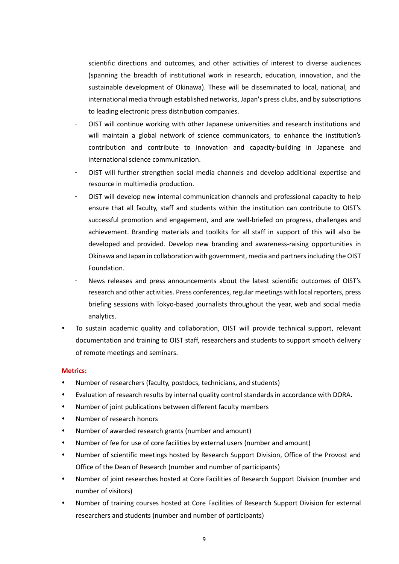scientific directions and outcomes, and other activities of interest to diverse audiences (spanning the breadth of institutional work in research, education, innovation, and the sustainable development of Okinawa). These will be disseminated to local, national, and international media through established networks, Japan's press clubs, and by subscriptions to leading electronic press distribution companies.

- OIST will continue working with other Japanese universities and research institutions and will maintain a global network of science communicators, to enhance the institution's contribution and contribute to innovation and capacity-building in Japanese and international science communication.
- OIST will further strengthen social media channels and develop additional expertise and resource in multimedia production.
- OIST will develop new internal communication channels and professional capacity to help ensure that all faculty, staff and students within the institution can contribute to OIST's successful promotion and engagement, and are well-briefed on progress, challenges and achievement. Branding materials and toolkits for all staff in support of this will also be developed and provided. Develop new branding and awareness-raising opportunities in Okinawa and Japan in collaboration with government, media and partners including the OIST Foundation.
- News releases and press announcements about the latest scientific outcomes of OIST's research and other activities. Press conferences, regular meetings with local reporters, press briefing sessions with Tokyo-based journalists throughout the year, web and social media analytics.
- To sustain academic quality and collaboration, OIST will provide technical support, relevant documentation and training to OIST staff, researchers and students to support smooth delivery of remote meetings and seminars.

## **Metrics:**

- Number of researchers (faculty, postdocs, technicians, and students)
- Evaluation of research results by internal quality control standards in accordance with DORA.
- Number of joint publications between different faculty members
- Number of research honors
- Number of awarded research grants (number and amount)
- Number of fee for use of core facilities by external users (number and amount)
- Number of scientific meetings hosted by Research Support Division, Office of the Provost and Office of the Dean of Research (number and number of participants)
- Number of joint researches hosted at Core Facilities of Research Support Division (number and number of visitors)
- Number of training courses hosted at Core Facilities of Research Support Division for external researchers and students (number and number of participants)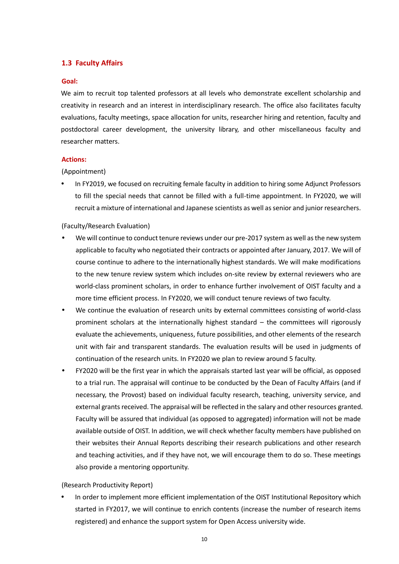## <span id="page-11-0"></span>**1.3 Faculty Affairs**

#### **Goal:**

We aim to recruit top talented professors at all levels who demonstrate excellent scholarship and creativity in research and an interest in interdisciplinary research. The office also facilitates faculty evaluations, faculty meetings, space allocation for units, researcher hiring and retention, faculty and postdoctoral career development, the university library, and other miscellaneous faculty and researcher matters.

#### **Actions:**

#### (Appointment)

 In FY2019, we focused on recruiting female faculty in addition to hiring some Adjunct Professors to fill the special needs that cannot be filled with a full-time appointment. In FY2020, we will recruit a mixture of international and Japanese scientists as well as senior and junior researchers.

## (Faculty/Research Evaluation)

- We will continue to conduct tenure reviews under our pre-2017 system as well as the new system applicable to faculty who negotiated their contracts or appointed after January, 2017. We will of course continue to adhere to the internationally highest standards. We will make modifications to the new tenure review system which includes on-site review by external reviewers who are world-class prominent scholars, in order to enhance further involvement of OIST faculty and a more time efficient process. In FY2020, we will conduct tenure reviews of two faculty.
- We continue the evaluation of research units by external committees consisting of world-class prominent scholars at the internationally highest standard – the committees will rigorously evaluate the achievements, uniqueness, future possibilities, and other elements of the research unit with fair and transparent standards. The evaluation results will be used in judgments of continuation of the research units. In FY2020 we plan to review around 5 faculty.
- FY2020 will be the first year in which the appraisals started last year will be official, as opposed to a trial run. The appraisal will continue to be conducted by the Dean of Faculty Affairs (and if necessary, the Provost) based on individual faculty research, teaching, university service, and external grants received. The appraisal will be reflected in the salary and other resources granted. Faculty will be assured that individual (as opposed to aggregated) information will not be made available outside of OIST. In addition, we will check whether faculty members have published on their websites their Annual Reports describing their research publications and other research and teaching activities, and if they have not, we will encourage them to do so. These meetings also provide a mentoring opportunity.

## (Research Productivity Report)

 In order to implement more efficient implementation of the OIST Institutional Repository which started in FY2017, we will continue to enrich contents (increase the number of research items registered) and enhance the support system for Open Access university wide.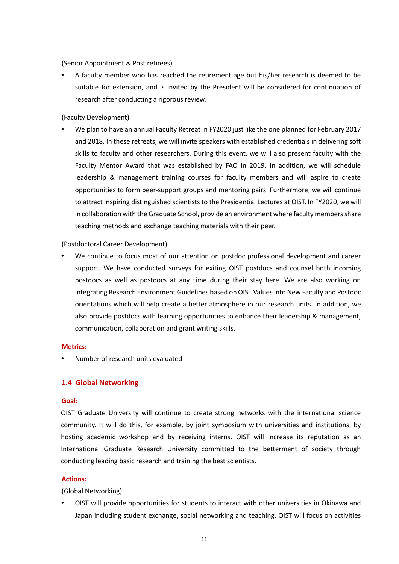(Senior Appointment & Post retirees)

 A faculty member who has reached the retirement age but his/her research is deemed to be suitable for extension, and is invited by the President will be considered for continuation of research after conducting a rigorous review.

(Faculty Development)

 We plan to have an annual Faculty Retreat in FY2020 just like the one planned for February 2017 and 2018. In these retreats, we will invite speakers with established credentials in delivering soft skills to faculty and other researchers. During this event, we will also present faculty with the Faculty Mentor Award that was established by FAO in 2019. In addition, we will schedule leadership & management training courses for faculty members and will aspire to create opportunities to form peer-support groups and mentoring pairs. Furthermore, we will continue to attract inspiring distinguished scientists to the Presidential Lectures at OIST. In FY2020, we will in collaboration with the Graduate School, provide an environment where faculty members share teaching methods and exchange teaching materials with their peer.

(Postdoctoral Career Development)

 We continue to focus most of our attention on postdoc professional development and career support. We have conducted surveys for exiting OIST postdocs and counsel both incoming postdocs as well as postdocs at any time during their stay here. We are also working on integrating Research Environment Guidelines based on OIST Values into New Faculty and Postdoc orientations which will help create a better atmosphere in our research units. In addition, we also provide postdocs with learning opportunities to enhance their leadership & management, communication, collaboration and grant writing skills.

## **Metrics:**

<span id="page-12-0"></span>Number of research units evaluated

## **1.4 Global Networking**

#### **Goal:**

OIST Graduate University will continue to create strong networks with the international science community. It will do this, for example, by joint symposium with universities and institutions, by hosting academic workshop and by receiving interns. OIST will increase its reputation as an International Graduate Research University committed to the betterment of society through conducting leading basic research and training the best scientists.

## **Actions:**

(Global Networking)

 OIST will provide opportunities for students to interact with other universities in Okinawa and Japan including student exchange, social networking and teaching. OIST will focus on activities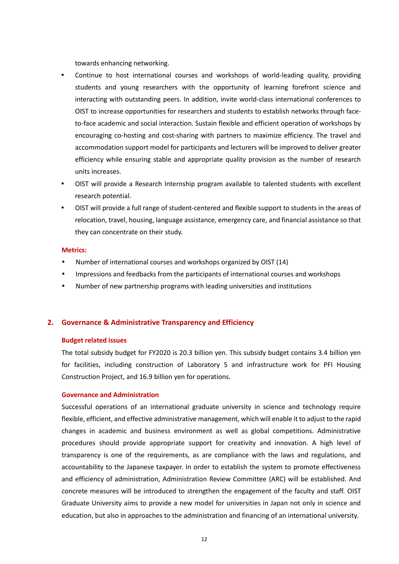towards enhancing networking.

- Continue to host international courses and workshops of world-leading quality, providing students and young researchers with the opportunity of learning forefront science and interacting with outstanding peers. In addition, invite world-class international conferences to OIST to increase opportunities for researchers and students to establish networks through faceto-face academic and social interaction. Sustain flexible and efficient operation of workshops by encouraging co-hosting and cost-sharing with partners to maximize efficiency. The travel and accommodation support model for participants and lecturers will be improved to deliver greater efficiency while ensuring stable and appropriate quality provision as the number of research units increases.
- OIST will provide a Research Internship program available to talented students with excellent research potential.
- OIST will provide a full range of student-centered and flexible support to students in the areas of relocation, travel, housing, language assistance, emergency care, and financial assistance so that they can concentrate on their study.

#### **Metrics:**

- Number of international courses and workshops organized by OIST (14)
- Impressions and feedbacks from the participants of international courses and workshops
- <span id="page-13-0"></span>Number of new partnership programs with leading universities and institutions

## **2. Governance & Administrative Transparency and Efficiency**

#### **Budget related issues**

The total subsidy budget for FY2020 is 20.3 billion yen. This subsidy budget contains 3.4 billion yen for facilities, including construction of Laboratory 5 and infrastructure work for PFI Housing Construction Project, and 16.9 billion yen for operations.

## **Governance and Administration**

Successful operations of an international graduate university in science and technology require flexible, efficient, and effective administrative management, which will enable it to adjust to the rapid changes in academic and business environment as well as global competitions. Administrative procedures should provide appropriate support for creativity and innovation. A high level of transparency is one of the requirements, as are compliance with the laws and regulations, and accountability to the Japanese taxpayer. In order to establish the system to promote effectiveness and efficiency of administration, Administration Review Committee (ARC) will be established. And concrete measures will be introduced to strengthen the engagement of the faculty and staff. OIST Graduate University aims to provide a new model for universities in Japan not only in science and education, but also in approaches to the administration and financing of an international university.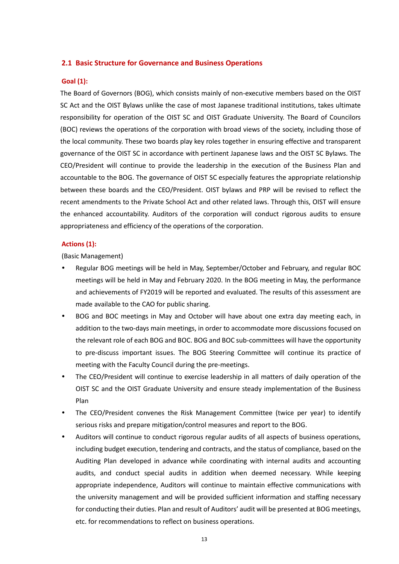#### <span id="page-14-0"></span>**2.1 Basic Structure for Governance and Business Operations**

#### **Goal (1):**

The Board of Governors (BOG), which consists mainly of non-executive members based on the OIST SC Act and the OIST Bylaws unlike the case of most Japanese traditional institutions, takes ultimate responsibility for operation of the OIST SC and OIST Graduate University. The Board of Councilors (BOC) reviews the operations of the corporation with broad views of the society, including those of the local community. These two boards play key roles together in ensuring effective and transparent governance of the OIST SC in accordance with pertinent Japanese laws and the OIST SC Bylaws. The CEO/President will continue to provide the leadership in the execution of the Business Plan and accountable to the BOG. The governance of OIST SC especially features the appropriate relationship between these boards and the CEO/President. OIST bylaws and PRP will be revised to reflect the recent amendments to the Private School Act and other related laws. Through this, OIST will ensure the enhanced accountability. Auditors of the corporation will conduct rigorous audits to ensure appropriateness and efficiency of the operations of the corporation.

#### **Actions (1):**

(Basic Management)

- Regular BOG meetings will be held in May, September/October and February, and regular BOC meetings will be held in May and February 2020. In the BOG meeting in May, the performance and achievements of FY2019 will be reported and evaluated. The results of this assessment are made available to the CAO for public sharing.
- BOG and BOC meetings in May and October will have about one extra day meeting each, in addition to the two-days main meetings, in order to accommodate more discussions focused on the relevant role of each BOG and BOC. BOG and BOC sub-committees will have the opportunity to pre-discuss important issues. The BOG Steering Committee will continue its practice of meeting with the Faculty Council during the pre-meetings.
- The CEO/President will continue to exercise leadership in all matters of daily operation of the OIST SC and the OIST Graduate University and ensure steady implementation of the Business Plan
- The CEO/President convenes the Risk Management Committee (twice per year) to identify serious risks and prepare mitigation/control measures and report to the BOG.
- Auditors will continue to conduct rigorous regular audits of all aspects of business operations, including budget execution, tendering and contracts, and the status of compliance, based on the Auditing Plan developed in advance while coordinating with internal audits and accounting audits, and conduct special audits in addition when deemed necessary. While keeping appropriate independence, Auditors will continue to maintain effective communications with the university management and will be provided sufficient information and staffing necessary for conducting their duties. Plan and result of Auditors' audit will be presented at BOG meetings, etc. for recommendations to reflect on business operations.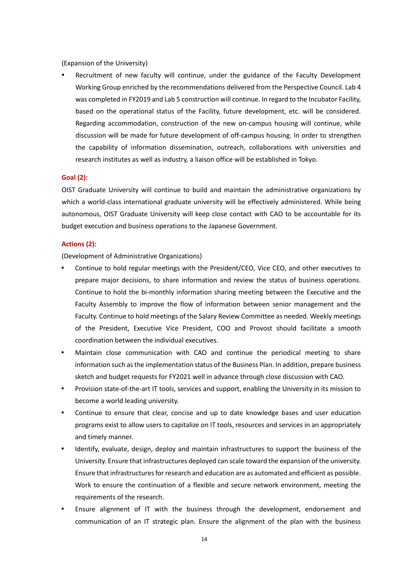(Expansion of the University)

 Recruitment of new faculty will continue, under the guidance of the Faculty Development Working Group enriched by the recommendations delivered from the Perspective Council. Lab 4 was completed in FY2019 and Lab 5 construction will continue. In regard to the Incubator Facility, based on the operational status of the Facility, future development, etc. will be considered. Regarding accommodation, construction of the new on-campus housing will continue, while discussion will be made for future development of off-campus housing. In order to strengthen the capability of information dissemination, outreach, collaborations with universities and research institutes as well as industry, a liaison office will be established in Tokyo.

## **Goal (2):**

OIST Graduate University will continue to build and maintain the administrative organizations by which a world-class international graduate university will be effectively administered. While being autonomous, OIST Graduate University will keep close contact with CAO to be accountable for its budget execution and business operations to the Japanese Government.

#### **Actions (2):**

(Development of Administrative Organizations)

- Continue to hold regular meetings with the President/CEO, Vice CEO, and other executives to prepare major decisions, to share information and review the status of business operations. Continue to hold the bi-monthly information sharing meeting between the Executive and the Faculty Assembly to improve the flow of information between senior management and the Faculty. Continue to hold meetings of the Salary Review Committee as needed. Weekly meetings of the President, Executive Vice President, COO and Provost should facilitate a smooth coordination between the individual executives.
- Maintain close communication with CAO and continue the periodical meeting to share information such as the implementation status of the Business Plan. In addition, prepare business sketch and budget requests for FY2021 well in advance through close discussion with CAO.
- Provision state-of-the-art IT tools, services and support, enabling the University in its mission to become a world leading university.
- Continue to ensure that clear, concise and up to date knowledge bases and user education programs exist to allow users to capitalize on IT tools, resources and services in an appropriately and timely manner.
- Identify, evaluate, design, deploy and maintain infrastructures to support the business of the University. Ensure that infrastructures deployed can scale toward the expansion of the university. Ensure that infrastructures for research and education are as automated and efficient as possible. Work to ensure the continuation of a flexible and secure network environment, meeting the requirements of the research.
- Ensure alignment of IT with the business through the development, endorsement and communication of an IT strategic plan. Ensure the alignment of the plan with the business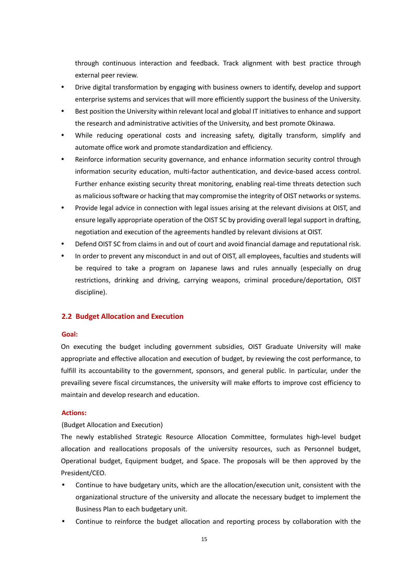through continuous interaction and feedback. Track alignment with best practice through external peer review.

- Drive digital transformation by engaging with business owners to identify, develop and support enterprise systems and services that will more efficiently support the business of the University.
- Best position the University within relevant local and global IT initiatives to enhance and support the research and administrative activities of the University, and best promote Okinawa.
- While reducing operational costs and increasing safety, digitally transform, simplify and automate office work and promote standardization and efficiency.
- Reinforce information security governance, and enhance information security control through information security education, multi-factor authentication, and device-based access control. Further enhance existing security threat monitoring, enabling real-time threats detection such as malicious software or hacking that may compromise the integrity of OIST networks or systems.
- Provide legal advice in connection with legal issues arising at the relevant divisions at OIST, and ensure legally appropriate operation of the OIST SC by providing overall legal support in drafting, negotiation and execution of the agreements handled by relevant divisions at OIST.
- Defend OIST SC from claims in and out of court and avoid financial damage and reputational risk.
- In order to prevent any misconduct in and out of OIST, all employees, faculties and students will be required to take a program on Japanese laws and rules annually (especially on drug restrictions, drinking and driving, carrying weapons, criminal procedure/deportation, OIST discipline).

## <span id="page-16-0"></span>**2.2 Budget Allocation and Execution**

## **Goal:**

On executing the budget including government subsidies, OIST Graduate University will make appropriate and effective allocation and execution of budget, by reviewing the cost performance, to fulfill its accountability to the government, sponsors, and general public. In particular, under the prevailing severe fiscal circumstances, the university will make efforts to improve cost efficiency to maintain and develop research and education.

## **Actions:**

## (Budget Allocation and Execution)

The newly established Strategic Resource Allocation Committee, formulates high-level budget allocation and reallocations proposals of the university resources, such as Personnel budget, Operational budget, Equipment budget, and Space. The proposals will be then approved by the President/CEO.

- Continue to have budgetary units, which are the allocation/execution unit, consistent with the organizational structure of the university and allocate the necessary budget to implement the Business Plan to each budgetary unit.
- Continue to reinforce the budget allocation and reporting process by collaboration with the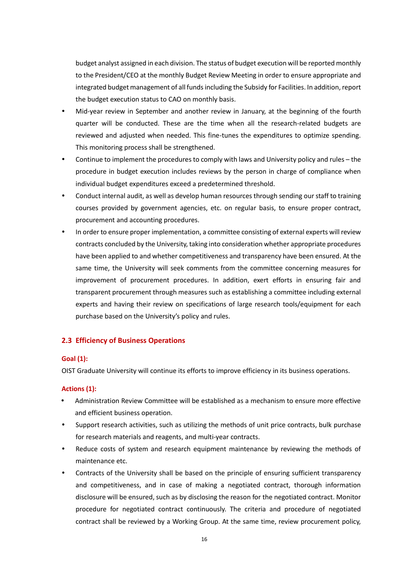budget analyst assigned in each division. The status of budget execution will be reported monthly to the President/CEO at the monthly Budget Review Meeting in order to ensure appropriate and integrated budget management of all funds including the Subsidy for Facilities. In addition, report the budget execution status to CAO on monthly basis.

- Mid-year review in September and another review in January, at the beginning of the fourth quarter will be conducted. These are the time when all the research-related budgets are reviewed and adjusted when needed. This fine-tunes the expenditures to optimize spending. This monitoring process shall be strengthened.
- Continue to implement the procedures to comply with laws and University policy and rules the procedure in budget execution includes reviews by the person in charge of compliance when individual budget expenditures exceed a predetermined threshold.
- Conduct internal audit, as well as develop human resources through sending our staff to training courses provided by government agencies, etc. on regular basis, to ensure proper contract, procurement and accounting procedures.
- In order to ensure proper implementation, a committee consisting of external experts will review contracts concluded by the University, taking into consideration whether appropriate procedures have been applied to and whether competitiveness and transparency have been ensured. At the same time, the University will seek comments from the committee concerning measures for improvement of procurement procedures. In addition, exert efforts in ensuring fair and transparent procurement through measures such as establishing a committee including external experts and having their review on specifications of large research tools/equipment for each purchase based on the University's policy and rules.

## <span id="page-17-0"></span>**2.3 Efficiency of Business Operations**

## **Goal (1):**

OIST Graduate University will continue its efforts to improve efficiency in its business operations.

## **Actions (1):**

- Administration Review Committee will be established as a mechanism to ensure more effective and efficient business operation.
- Support research activities, such as utilizing the methods of unit price contracts, bulk purchase for research materials and reagents, and multi-year contracts.
- Reduce costs of system and research equipment maintenance by reviewing the methods of maintenance etc.
- Contracts of the University shall be based on the principle of ensuring sufficient transparency and competitiveness, and in case of making a negotiated contract, thorough information disclosure will be ensured, such as by disclosing the reason for the negotiated contract. Monitor procedure for negotiated contract continuously. The criteria and procedure of negotiated contract shall be reviewed by a Working Group. At the same time, review procurement policy,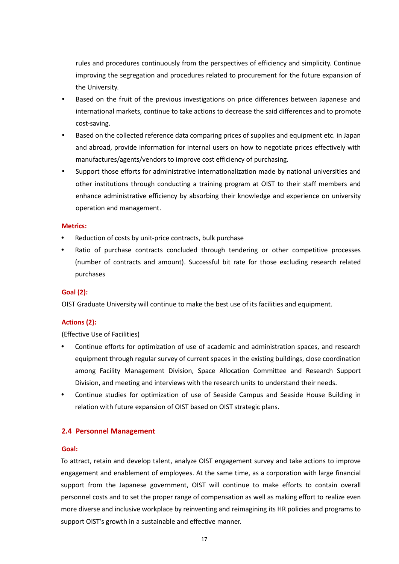rules and procedures continuously from the perspectives of efficiency and simplicity. Continue improving the segregation and procedures related to procurement for the future expansion of the University.

- Based on the fruit of the previous investigations on price differences between Japanese and international markets, continue to take actions to decrease the said differences and to promote cost-saving.
- Based on the collected reference data comparing prices of supplies and equipment etc. in Japan and abroad, provide information for internal users on how to negotiate prices effectively with manufactures/agents/vendors to improve cost efficiency of purchasing.
- Support those efforts for administrative internationalization made by national universities and other institutions through conducting a training program at OIST to their staff members and enhance administrative efficiency by absorbing their knowledge and experience on university operation and management.

## **Metrics:**

- Reduction of costs by unit-price contracts, bulk purchase
- Ratio of purchase contracts concluded through tendering or other competitive processes (number of contracts and amount). Successful bit rate for those excluding research related purchases

## **Goal (2):**

OIST Graduate University will continue to make the best use of its facilities and equipment.

## **Actions (2):**

## (Effective Use of Facilities)

- Continue efforts for optimization of use of academic and administration spaces, and research equipment through regular survey of current spaces in the existing buildings, close coordination among Facility Management Division, Space Allocation Committee and Research Support Division, and meeting and interviews with the research units to understand their needs.
- Continue studies for optimization of use of Seaside Campus and Seaside House Building in relation with future expansion of OIST based on OIST strategic plans.

## <span id="page-18-0"></span>**2.4 Personnel Management**

## **Goal:**

To attract, retain and develop talent, analyze OIST engagement survey and take actions to improve engagement and enablement of employees. At the same time, as a corporation with large financial support from the Japanese government, OIST will continue to make efforts to contain overall personnel costs and to set the proper range of compensation as well as making effort to realize even more diverse and inclusive workplace by reinventing and reimagining its HR policies and programs to support OIST's growth in a sustainable and effective manner.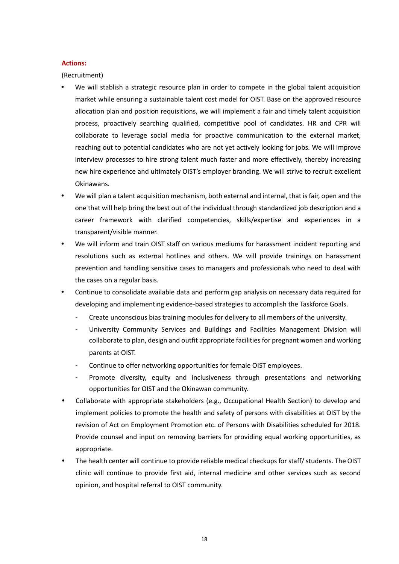#### **Actions:**

(Recruitment)

- We will stablish a strategic resource plan in order to compete in the global talent acquisition market while ensuring a sustainable talent cost model for OIST. Base on the approved resource allocation plan and position requisitions, we will implement a fair and timely talent acquisition process, proactively searching qualified, competitive pool of candidates. HR and CPR will collaborate to leverage social media for proactive communication to the external market, reaching out to potential candidates who are not yet actively looking for jobs. We will improve interview processes to hire strong talent much faster and more effectively, thereby increasing new hire experience and ultimately OIST's employer branding. We will strive to recruit excellent Okinawans.
- We will plan a talent acquisition mechanism, both external and internal, that is fair, open and the one that will help bring the best out of the individual through standardized job description and a career framework with clarified competencies, skills/expertise and experiences in a transparent/visible manner.
- We will inform and train OIST staff on various mediums for harassment incident reporting and resolutions such as external hotlines and others. We will provide trainings on harassment prevention and handling sensitive cases to managers and professionals who need to deal with the cases on a regular basis.
- Continue to consolidate available data and perform gap analysis on necessary data required for developing and implementing evidence-based strategies to accomplish the Taskforce Goals.
	- Create unconscious bias training modules for delivery to all members of the university.
	- University Community Services and Buildings and Facilities Management Division will collaborate to plan, design and outfit appropriate facilities for pregnant women and working parents at OIST.
	- Continue to offer networking opportunities for female OIST employees.
	- Promote diversity, equity and inclusiveness through presentations and networking opportunities for OIST and the Okinawan community.
- Collaborate with appropriate stakeholders (e.g., Occupational Health Section) to develop and implement policies to promote the health and safety of persons with disabilities at OIST by the revision of Act on Employment Promotion etc. of Persons with Disabilities scheduled for 2018. Provide counsel and input on removing barriers for providing equal working opportunities, as appropriate.
- The health center will continue to provide reliable medical checkups for staff/ students. The OIST clinic will continue to provide first aid, internal medicine and other services such as second opinion, and hospital referral to OIST community.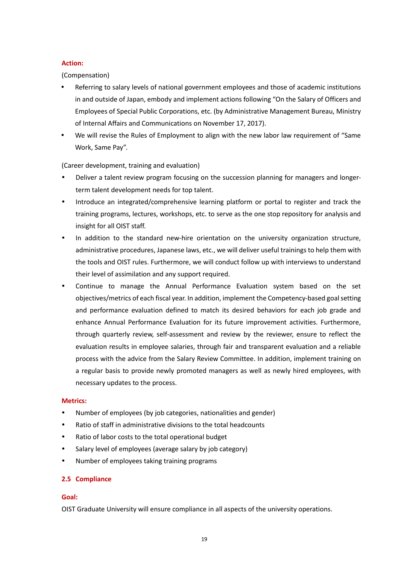## **Action:**

(Compensation)

- Referring to salary levels of national government employees and those of academic institutions in and outside of Japan, embody and implement actions following "On the Salary of Officers and Employees of Special Public Corporations, etc. (by Administrative Management Bureau, Ministry of Internal Affairs and Communications on November 17, 2017).
- We will revise the Rules of Employment to align with the new labor law requirement of "Same Work, Same Pay".

(Career development, training and evaluation)

- Deliver a talent review program focusing on the succession planning for managers and longerterm talent development needs for top talent.
- Introduce an integrated/comprehensive learning platform or portal to register and track the training programs, lectures, workshops, etc. to serve as the one stop repository for analysis and insight for all OIST staff.
- In addition to the standard new-hire orientation on the university organization structure, administrative procedures, Japanese laws, etc., we will deliver useful trainings to help them with the tools and OIST rules. Furthermore, we will conduct follow up with interviews to understand their level of assimilation and any support required.
- Continue to manage the Annual Performance Evaluation system based on the set objectives/metrics of each fiscal year. In addition, implement the Competency-based goal setting and performance evaluation defined to match its desired behaviors for each job grade and enhance Annual Performance Evaluation for its future improvement activities. Furthermore, through quarterly review, self-assessment and review by the reviewer, ensure to reflect the evaluation results in employee salaries, through fair and transparent evaluation and a reliable process with the advice from the Salary Review Committee. In addition, implement training on a regular basis to provide newly promoted managers as well as newly hired employees, with necessary updates to the process.

## **Metrics:**

- Number of employees (by job categories, nationalities and gender)
- Ratio of staff in administrative divisions to the total headcounts
- Ratio of labor costs to the total operational budget
- Salary level of employees (average salary by job category)
- Number of employees taking training programs

## **2.5 Compliance**

## **Goal:**

OIST Graduate University will ensure compliance in all aspects of the university operations.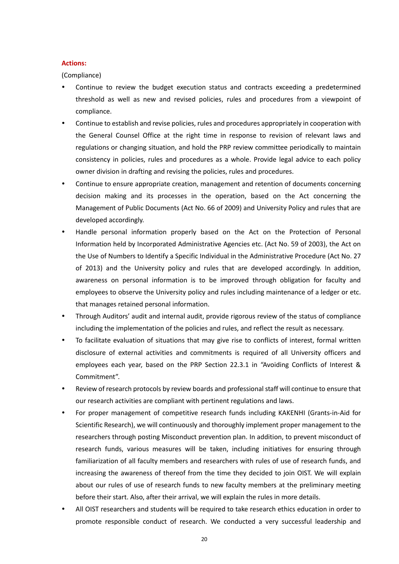#### **Actions:**

(Compliance)

- Continue to review the budget execution status and contracts exceeding a predetermined threshold as well as new and revised policies, rules and procedures from a viewpoint of compliance.
- Continue to establish and revise policies, rules and procedures appropriately in cooperation with the General Counsel Office at the right time in response to revision of relevant laws and regulations or changing situation, and hold the PRP review committee periodically to maintain consistency in policies, rules and procedures as a whole. Provide legal advice to each policy owner division in drafting and revising the policies, rules and procedures.
- Continue to ensure appropriate creation, management and retention of documents concerning decision making and its processes in the operation, based on the Act concerning the Management of Public Documents (Act No. 66 of 2009) and University Policy and rules that are developed accordingly.
- Handle personal information properly based on the Act on the Protection of Personal Information held by Incorporated Administrative Agencies etc. (Act No. 59 of 2003), the Act on the Use of Numbers to Identify a Specific Individual in the Administrative Procedure (Act No. 27 of 2013) and the University policy and rules that are developed accordingly. In addition, awareness on personal information is to be improved through obligation for faculty and employees to observe the University policy and rules including maintenance of a ledger or etc. that manages retained personal information.
- Through Auditors' audit and internal audit, provide rigorous review of the status of compliance including the implementation of the policies and rules, and reflect the result as necessary.
- To facilitate evaluation of situations that may give rise to conflicts of interest, formal written disclosure of external activities and commitments is required of all University officers and employees each year, based on the PRP Section 22.3.1 in "Avoiding Conflicts of Interest & Commitment".
- Review of research protocols by review boards and professional staff will continue to ensure that our research activities are compliant with pertinent regulations and laws.
- For proper management of competitive research funds including KAKENHI (Grants-in-Aid for Scientific Research), we will continuously and thoroughly implement proper management to the researchers through posting Misconduct prevention plan. In addition, to prevent misconduct of research funds, various measures will be taken, including initiatives for ensuring through familiarization of all faculty members and researchers with rules of use of research funds, and increasing the awareness of thereof from the time they decided to join OIST. We will explain about our rules of use of research funds to new faculty members at the preliminary meeting before their start. Also, after their arrival, we will explain the rules in more details.
- All OIST researchers and students will be required to take research ethics education in order to promote responsible conduct of research. We conducted a very successful leadership and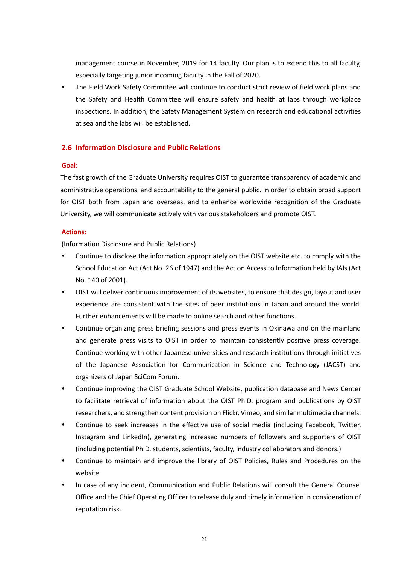management course in November, 2019 for 14 faculty. Our plan is to extend this to all faculty, especially targeting junior incoming faculty in the Fall of 2020.

 The Field Work Safety Committee will continue to conduct strict review of field work plans and the Safety and Health Committee will ensure safety and health at labs through workplace inspections. In addition, the Safety Management System on research and educational activities at sea and the labs will be established.

## <span id="page-22-0"></span>**2.6 Information Disclosure and Public Relations**

## **Goal:**

The fast growth of the Graduate University requires OIST to guarantee transparency of academic and administrative operations, and accountability to the general public. In order to obtain broad support for OIST both from Japan and overseas, and to enhance worldwide recognition of the Graduate University, we will communicate actively with various stakeholders and promote OIST.

## **Actions:**

(Information Disclosure and Public Relations)

- Continue to disclose the information appropriately on the OIST website etc. to comply with the School Education Act (Act No. 26 of 1947) and the Act on Access to Information held by IAIs (Act No. 140 of 2001).
- OIST will deliver continuous improvement of its websites, to ensure that design, layout and user experience are consistent with the sites of peer institutions in Japan and around the world. Further enhancements will be made to online search and other functions.
- Continue organizing press briefing sessions and press events in Okinawa and on the mainland and generate press visits to OIST in order to maintain consistently positive press coverage. Continue working with other Japanese universities and research institutions through initiatives of the Japanese Association for Communication in Science and Technology (JACST) and organizers of Japan SciCom Forum.
- Continue improving the OIST Graduate School Website, publication database and News Center to facilitate retrieval of information about the OIST Ph.D. program and publications by OIST researchers, and strengthen content provision on Flickr, Vimeo, and similar multimedia channels.
- Continue to seek increases in the effective use of social media (including Facebook, Twitter, Instagram and LinkedIn), generating increased numbers of followers and supporters of OIST (including potential Ph.D. students, scientists, faculty, industry collaborators and donors.)
- Continue to maintain and improve the library of OIST Policies, Rules and Procedures on the website.
- In case of any incident, Communication and Public Relations will consult the General Counsel Office and the Chief Operating Officer to release duly and timely information in consideration of reputation risk.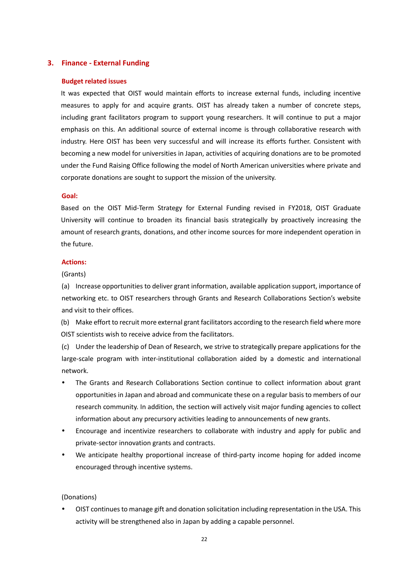## <span id="page-23-0"></span>**3. Finance - External Funding**

#### **Budget related issues**

It was expected that OIST would maintain efforts to increase external funds, including incentive measures to apply for and acquire grants. OIST has already taken a number of concrete steps, including grant facilitators program to support young researchers. It will continue to put a major emphasis on this. An additional source of external income is through collaborative research with industry. Here OIST has been very successful and will increase its efforts further. Consistent with becoming a new model for universities in Japan, activities of acquiring donations are to be promoted under the Fund Raising Office following the model of North American universities where private and corporate donations are sought to support the mission of the university.

#### **Goal:**

Based on the OIST Mid-Term Strategy for External Funding revised in FY2018, OIST Graduate University will continue to broaden its financial basis strategically by proactively increasing the amount of research grants, donations, and other income sources for more independent operation in the future.

## **Actions:**

#### (Grants)

(a) Increase opportunities to deliver grant information, available application support, importance of networking etc. to OIST researchers through Grants and Research Collaborations Section's website and visit to their offices.

(b) Make effort to recruit more external grant facilitators according to the research field where more OIST scientists wish to receive advice from the facilitators.

(c) Under the leadership of Dean of Research, we strive to strategically prepare applications for the large-scale program with inter-institutional collaboration aided by a domestic and international network.

- The Grants and Research Collaborations Section continue to collect information about grant opportunities in Japan and abroad and communicate these on a regular basis to members of our research community. In addition, the section will actively visit major funding agencies to collect information about any precursory activities leading to announcements of new grants.
- Encourage and incentivize researchers to collaborate with industry and apply for public and private-sector innovation grants and contracts.
- We anticipate healthy proportional increase of third-party income hoping for added income encouraged through incentive systems.

(Donations)

 OIST continues to manage gift and donation solicitation including representation in the USA. This activity will be strengthened also in Japan by adding a capable personnel.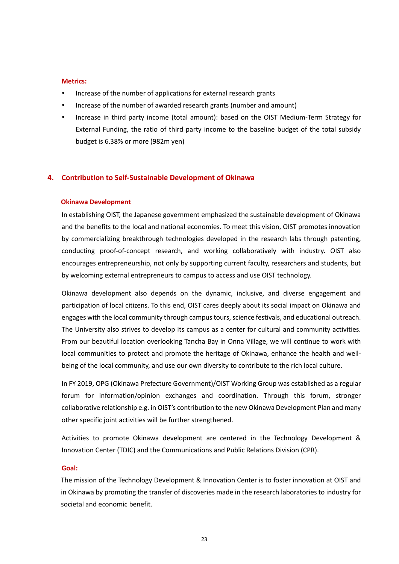#### **Metrics:**

- Increase of the number of applications for external research grants
- Increase of the number of awarded research grants (number and amount)
- Increase in third party income (total amount): based on the OIST Medium-Term Strategy for External Funding, the ratio of third party income to the baseline budget of the total subsidy budget is 6.38% or more (982m yen)

## <span id="page-24-0"></span>**4. Contribution to Self-Sustainable Development of Okinawa**

#### **Okinawa Development**

In establishing OIST, the Japanese government emphasized the sustainable development of Okinawa and the benefits to the local and national economies. To meet this vision, OIST promotes innovation by commercializing breakthrough technologies developed in the research labs through patenting, conducting proof-of-concept research, and working collaboratively with industry. OIST also encourages entrepreneurship, not only by supporting current faculty, researchers and students, but by welcoming external entrepreneurs to campus to access and use OIST technology.

Okinawa development also depends on the dynamic, inclusive, and diverse engagement and participation of local citizens. To this end, OIST cares deeply about its social impact on Okinawa and engages with the local community through campus tours, science festivals, and educational outreach. The University also strives to develop its campus as a center for cultural and community activities. From our beautiful location overlooking Tancha Bay in Onna Village, we will continue to work with local communities to protect and promote the heritage of Okinawa, enhance the health and wellbeing of the local community, and use our own diversity to contribute to the rich local culture.

In FY 2019, OPG (Okinawa Prefecture Government)/OIST Working Group was established as a regular forum for information/opinion exchanges and coordination. Through this forum, stronger collaborative relationship e.g. in OIST's contribution to the new Okinawa Development Plan and many other specific joint activities will be further strengthened.

Activities to promote Okinawa development are centered in the Technology Development & Innovation Center (TDIC) and the Communications and Public Relations Division (CPR).

#### **Goal:**

The mission of the Technology Development & Innovation Center is to foster innovation at OIST and in Okinawa by promoting the transfer of discoveries made in the research laboratories to industry for societal and economic benefit.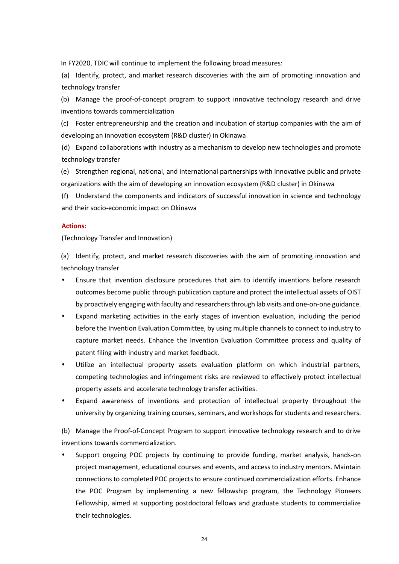In FY2020, TDIC will continue to implement the following broad measures:

(a) Identify, protect, and market research discoveries with the aim of promoting innovation and technology transfer

(b) Manage the proof-of-concept program to support innovative technology research and drive inventions towards commercialization

(c) Foster entrepreneurship and the creation and incubation of startup companies with the aim of developing an innovation ecosystem (R&D cluster) in Okinawa

(d) Expand collaborations with industry as a mechanism to develop new technologies and promote technology transfer

(e) Strengthen regional, national, and international partnerships with innovative public and private organizations with the aim of developing an innovation ecosystem (R&D cluster) in Okinawa

(f) Understand the components and indicators of successful innovation in science and technology and their socio-economic impact on Okinawa

#### **Actions:**

(Technology Transfer and Innovation)

(a) Identify, protect, and market research discoveries with the aim of promoting innovation and technology transfer

- Ensure that invention disclosure procedures that aim to identify inventions before research outcomes become public through publication capture and protect the intellectual assets of OIST by proactively engaging with faculty and researchers through lab visits and one-on-one guidance.
- Expand marketing activities in the early stages of invention evaluation, including the period before the Invention Evaluation Committee, by using multiple channels to connect to industry to capture market needs. Enhance the Invention Evaluation Committee process and quality of patent filing with industry and market feedback.
- Utilize an intellectual property assets evaluation platform on which industrial partners, competing technologies and infringement risks are reviewed to effectively protect intellectual property assets and accelerate technology transfer activities.
- Expand awareness of inventions and protection of intellectual property throughout the university by organizing training courses, seminars, and workshops for students and researchers.

(b) Manage the Proof-of-Concept Program to support innovative technology research and to drive inventions towards commercialization.

 Support ongoing POC projects by continuing to provide funding, market analysis, hands-on project management, educational courses and events, and access to industry mentors. Maintain connections to completed POC projects to ensure continued commercialization efforts. Enhance the POC Program by implementing a new fellowship program, the Technology Pioneers Fellowship, aimed at supporting postdoctoral fellows and graduate students to commercialize their technologies.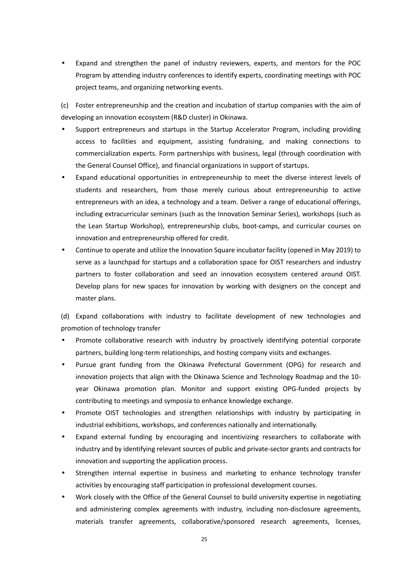Expand and strengthen the panel of industry reviewers, experts, and mentors for the POC Program by attending industry conferences to identify experts, coordinating meetings with POC project teams, and organizing networking events.

(c) Foster entrepreneurship and the creation and incubation of startup companies with the aim of developing an innovation ecosystem (R&D cluster) in Okinawa.

- Support entrepreneurs and startups in the Startup Accelerator Program, including providing access to facilities and equipment, assisting fundraising, and making connections to commercialization experts. Form partnerships with business, legal (through coordination with the General Counsel Office), and financial organizations in support of startups.
- Expand educational opportunities in entrepreneurship to meet the diverse interest levels of students and researchers, from those merely curious about entrepreneurship to active entrepreneurs with an idea, a technology and a team. Deliver a range of educational offerings, including extracurricular seminars (such as the Innovation Seminar Series), workshops (such as the Lean Startup Workshop), entrepreneurship clubs, boot-camps, and curricular courses on innovation and entrepreneurship offered for credit.
- Continue to operate and utilize the Innovation Square incubator facility (opened in May 2019) to serve as a launchpad for startups and a collaboration space for OIST researchers and industry partners to foster collaboration and seed an innovation ecosystem centered around OIST. Develop plans for new spaces for innovation by working with designers on the concept and master plans.

(d) Expand collaborations with industry to facilitate development of new technologies and promotion of technology transfer

- Promote collaborative research with industry by proactively identifying potential corporate partners, building long-term relationships, and hosting company visits and exchanges.
- Pursue grant funding from the Okinawa Prefectural Government (OPG) for research and innovation projects that align with the Okinawa Science and Technology Roadmap and the 10 year Okinawa promotion plan. Monitor and support existing OPG-funded projects by contributing to meetings and symposia to enhance knowledge exchange.
- Promote OIST technologies and strengthen relationships with industry by participating in industrial exhibitions, workshops, and conferences nationally and internationally.
- Expand external funding by encouraging and incentivizing researchers to collaborate with industry and by identifying relevant sources of public and private-sector grants and contracts for innovation and supporting the application process.
- Strengthen internal expertise in business and marketing to enhance technology transfer activities by encouraging staff participation in professional development courses.
- Work closely with the Office of the General Counsel to build university expertise in negotiating and administering complex agreements with industry, including non-disclosure agreements, materials transfer agreements, collaborative/sponsored research agreements, licenses,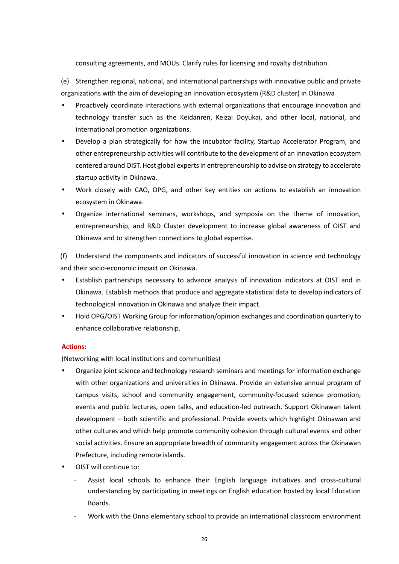consulting agreements, and MOUs. Clarify rules for licensing and royalty distribution.

(e) Strengthen regional, national, and international partnerships with innovative public and private organizations with the aim of developing an innovation ecosystem (R&D cluster) in Okinawa

- Proactively coordinate interactions with external organizations that encourage innovation and technology transfer such as the Keidanren, Keizai Doyukai, and other local, national, and international promotion organizations.
- Develop a plan strategically for how the incubator facility, Startup Accelerator Program, and other entrepreneurship activities will contribute to the development of an innovation ecosystem centered around OIST. Host global experts in entrepreneurship to advise on strategy to accelerate startup activity in Okinawa.
- Work closely with CAO, OPG, and other key entities on actions to establish an innovation ecosystem in Okinawa.
- Organize international seminars, workshops, and symposia on the theme of innovation, entrepreneurship, and R&D Cluster development to increase global awareness of OIST and Okinawa and to strengthen connections to global expertise.

(f) Understand the components and indicators of successful innovation in science and technology and their socio-economic impact on Okinawa.

- Establish partnerships necessary to advance analysis of innovation indicators at OIST and in Okinawa. Establish methods that produce and aggregate statistical data to develop indicators of technological innovation in Okinawa and analyze their impact.
- Hold OPG/OIST Working Group for information/opinion exchanges and coordination quarterly to enhance collaborative relationship.

## **Actions:**

(Networking with local institutions and communities)

- Organize joint science and technology research seminars and meetings for information exchange with other organizations and universities in Okinawa. Provide an extensive annual program of campus visits, school and community engagement, community-focused science promotion, events and public lectures, open talks, and education-led outreach. Support Okinawan talent development – both scientific and professional. Provide events which highlight Okinawan and other cultures and which help promote community cohesion through cultural events and other social activities. Ensure an appropriate breadth of community engagement across the Okinawan Prefecture, including remote islands.
- OIST will continue to:
	- Assist local schools to enhance their English language initiatives and cross-cultural understanding by participating in meetings on English education hosted by local Education Boards.
	- Work with the Onna elementary school to provide an international classroom environment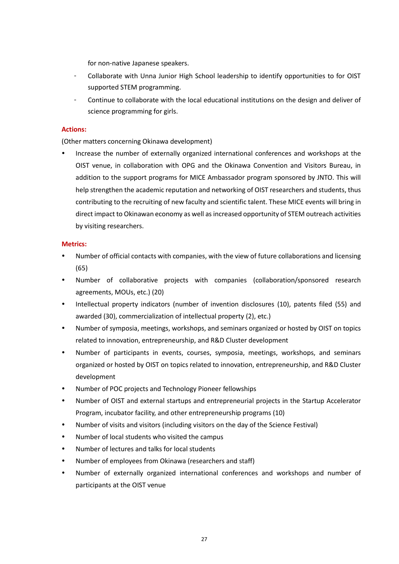for non-native Japanese speakers.

- Collaborate with Unna Junior High School leadership to identify opportunities to for OIST supported STEM programming.
- Continue to collaborate with the local educational institutions on the design and deliver of science programming for girls.

## **Actions:**

(Other matters concerning Okinawa development)

 Increase the number of externally organized international conferences and workshops at the OIST venue, in collaboration with OPG and the Okinawa Convention and Visitors Bureau, in addition to the support programs for MICE Ambassador program sponsored by JNTO. This will help strengthen the academic reputation and networking of OIST researchers and students, thus contributing to the recruiting of new faculty and scientific talent. These MICE events will bring in direct impact to Okinawan economy as well as increased opportunity of STEM outreach activities by visiting researchers.

## **Metrics:**

- Number of official contacts with companies, with the view of future collaborations and licensing (65)
- Number of collaborative projects with companies (collaboration/sponsored research agreements, MOUs, etc.) (20)
- Intellectual property indicators (number of invention disclosures (10), patents filed (55) and awarded (30), commercialization of intellectual property (2), etc.)
- Number of symposia, meetings, workshops, and seminars organized or hosted by OIST on topics related to innovation, entrepreneurship, and R&D Cluster development
- Number of participants in events, courses, symposia, meetings, workshops, and seminars organized or hosted by OIST on topics related to innovation, entrepreneurship, and R&D Cluster development
- Number of POC projects and Technology Pioneer fellowships
- Number of OIST and external startups and entrepreneurial projects in the Startup Accelerator Program, incubator facility, and other entrepreneurship programs (10)
- Number of visits and visitors (including visitors on the day of the Science Festival)
- Number of local students who visited the campus
- Number of lectures and talks for local students
- Number of employees from Okinawa (researchers and staff)
- Number of externally organized international conferences and workshops and number of participants at the OIST venue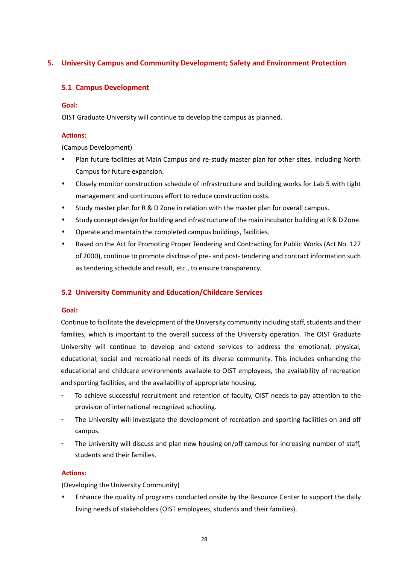## <span id="page-29-1"></span><span id="page-29-0"></span>**5. University Campus and Community Development; Safety and Environment Protection**

## **5.1 Campus Development**

## **Goal:**

OIST Graduate University will continue to develop the campus as planned.

## **Actions:**

(Campus Development)

- Plan future facilities at Main Campus and re-study master plan for other sites, including North Campus for future expansion.
- Closely monitor construction schedule of infrastructure and building works for Lab 5 with tight management and continuous effort to reduce construction costs.
- Study master plan for R & D Zone in relation with the master plan for overall campus.
- Study concept design for building and infrastructure of the main incubator building at R & D Zone.
- Operate and maintain the completed campus buildings, facilities.
- Based on the Act for Promoting Proper Tendering and Contracting for Public Works (Act No. 127 of 2000), continue to promote disclose of pre- and post- tendering and contract information such as tendering schedule and result, etc., to ensure transparency.

## <span id="page-29-2"></span>**5.2 University Community and Education/Childcare Services**

## **Goal:**

Continue to facilitate the development of the University community including staff, students and their families, which is important to the overall success of the University operation. The OIST Graduate University will continue to develop and extend services to address the emotional, physical, educational, social and recreational needs of its diverse community. This includes enhancing the educational and childcare environments available to OIST employees, the availability of recreation and sporting facilities, and the availability of appropriate housing.

- To achieve successful recruitment and retention of faculty, OIST needs to pay attention to the provision of international recognized schooling.
- The University will investigate the development of recreation and sporting facilities on and off campus.
- The University will discuss and plan new housing on/off campus for increasing number of staff, students and their families.

## **Actions:**

(Developing the University Community)

 Enhance the quality of programs conducted onsite by the Resource Center to support the daily living needs of stakeholders (OIST employees, students and their families).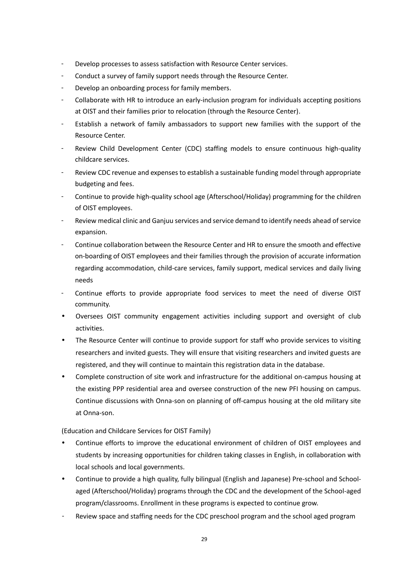- Develop processes to assess satisfaction with Resource Center services.
- Conduct a survey of family support needs through the Resource Center.
- Develop an onboarding process for family members.
- Collaborate with HR to introduce an early-inclusion program for individuals accepting positions at OIST and their families prior to relocation (through the Resource Center).
- Establish a network of family ambassadors to support new families with the support of the Resource Center.
- Review Child Development Center (CDC) staffing models to ensure continuous high-quality childcare services.
- Review CDC revenue and expenses to establish a sustainable funding model through appropriate budgeting and fees.
- Continue to provide high-quality school age (Afterschool/Holiday) programming for the children of OIST employees.
- Review medical clinic and Ganjuu services and service demand to identify needs ahead of service expansion.
- Continue collaboration between the Resource Center and HR to ensure the smooth and effective on-boarding of OIST employees and their families through the provision of accurate information regarding accommodation, child-care services, family support, medical services and daily living needs
- Continue efforts to provide appropriate food services to meet the need of diverse OIST community.
- Oversees OIST community engagement activities including support and oversight of club activities.
- The Resource Center will continue to provide support for staff who provide services to visiting researchers and invited guests. They will ensure that visiting researchers and invited guests are registered, and they will continue to maintain this registration data in the database.
- Complete construction of site work and infrastructure for the additional on-campus housing at the existing PPP residential area and oversee construction of the new PFI housing on campus. Continue discussions with Onna-son on planning of off-campus housing at the old military site at Onna-son.

(Education and Childcare Services for OIST Family)

- Continue efforts to improve the educational environment of children of OIST employees and students by increasing opportunities for children taking classes in English, in collaboration with local schools and local governments.
- Continue to provide a high quality, fully bilingual (English and Japanese) Pre-school and Schoolaged (Afterschool/Holiday) programs through the CDC and the development of the School-aged program/classrooms. Enrollment in these programs is expected to continue grow.
- Review space and staffing needs for the CDC preschool program and the school aged program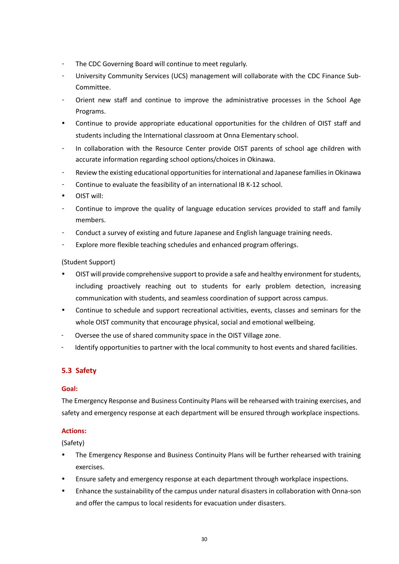- The CDC Governing Board will continue to meet regularly.
- University Community Services (UCS) management will collaborate with the CDC Finance Sub-Committee.
- Orient new staff and continue to improve the administrative processes in the School Age Programs.
- Continue to provide appropriate educational opportunities for the children of OIST staff and students including the International classroom at Onna Elementary school.
- In collaboration with the Resource Center provide OIST parents of school age children with accurate information regarding school options/choices in Okinawa.
- Review the existing educational opportunities for international and Japanese families in Okinawa
- Continue to evaluate the feasibility of an international IB K-12 school.
- OIST will:
- Continue to improve the quality of language education services provided to staff and family members.
- Conduct a survey of existing and future Japanese and English language training needs.
- Explore more flexible teaching schedules and enhanced program offerings.

## (Student Support)

- OIST will provide comprehensive support to provide a safe and healthy environment for students, including proactively reaching out to students for early problem detection, increasing communication with students, and seamless coordination of support across campus.
- Continue to schedule and support recreational activities, events, classes and seminars for the whole OIST community that encourage physical, social and emotional wellbeing.
- Oversee the use of shared community space in the OIST Village zone.
- <span id="page-31-0"></span>Identify opportunities to partner with the local community to host events and shared facilities.

## **5.3 Safety**

## **Goal:**

The Emergency Response and Business Continuity Plans will be rehearsed with training exercises, and safety and emergency response at each department will be ensured through workplace inspections.

## **Actions:**

## (Safety)

- The Emergency Response and Business Continuity Plans will be further rehearsed with training exercises.
- Ensure safety and emergency response at each department through workplace inspections.
- Enhance the sustainability of the campus under natural disasters in collaboration with Onna-son and offer the campus to local residents for evacuation under disasters.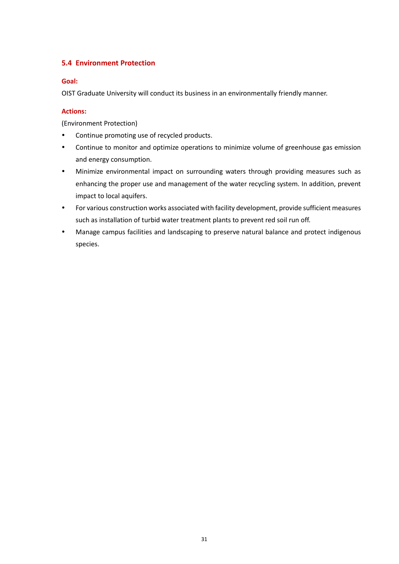## <span id="page-32-0"></span>**5.4 Environment Protection**

## **Goal:**

OIST Graduate University will conduct its business in an environmentally friendly manner.

## **Actions:**

(Environment Protection)

- Continue promoting use of recycled products.
- Continue to monitor and optimize operations to minimize volume of greenhouse gas emission and energy consumption.
- Minimize environmental impact on surrounding waters through providing measures such as enhancing the proper use and management of the water recycling system. In addition, prevent impact to local aquifers.
- For various construction works associated with facility development, provide sufficient measures such as installation of turbid water treatment plants to prevent red soil run off.
- Manage campus facilities and landscaping to preserve natural balance and protect indigenous species.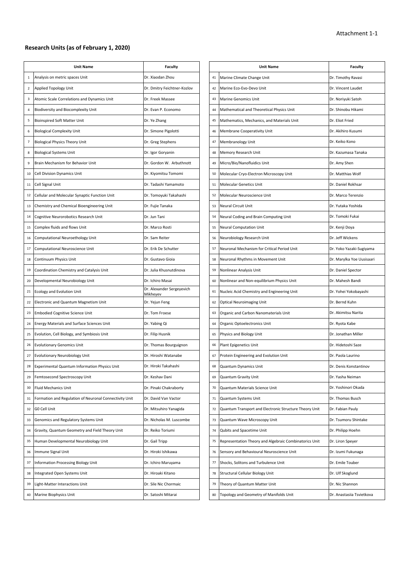#### **Research Units (as of February 1, 2020)**

|                | <b>Unit Name</b>                                       | <b>Faculty</b>                        |    | <b>Unit Name</b>                                       | <b>Faculty</b>            |
|----------------|--------------------------------------------------------|---------------------------------------|----|--------------------------------------------------------|---------------------------|
| 1              | Analysis on metric spaces Unit                         | Dr. Xiaodan Zhou                      | 41 | Marine Climate Change Unit                             | Dr. Timothy Ravasi        |
| $\overline{2}$ | Applied Topology Unit                                  | Dr. Dmitry Feichtner-Kozlov           | 42 | Marine Eco-Evo-Devo Unit                               | Dr. Vincent Laudet        |
| 3              | Atomic Scale Correlations and Dynamics Unit            | Dr. Freek Massee                      | 43 | <b>Marine Genomics Unit</b>                            | Dr. Noriyuki Satoh        |
| 4              | Biodiversity and Biocomplexity Unit                    | Dr. Evan P. Economo                   | 44 | Mathematical and Theoretical Physics Unit              | Dr. Shinobu Hikami        |
| 5              | <b>Bioinspired Soft Matter Unit</b>                    | Dr. Ye Zhang                          | 45 | Mathematics, Mechanics, and Materials Unit             | Dr. Eliot Fried           |
| 6              | <b>Biological Complexity Unit</b>                      | Dr. Simone Pigolotti                  | 46 | Membrane Cooperativity Unit                            | Dr. Akihiro Kusumi        |
| 7              | <b>Biological Physics Theory Unit</b>                  | Dr. Greg Stephens                     | 47 | Membranology Unit                                      | Dr. Keiko Kono            |
| 8              | <b>Biological Systems Unit</b>                         | Dr. Igor Goryanin                     | 48 | Memory Research Unit                                   | Dr. Kazumasa Tanaka       |
| 9              | Brain Mechanism for Behavior Unit                      | Dr. Gordon W. Arbuthnott              | 49 | Micro/Bio/Nanofluidics Unit                            | Dr. Amy Shen              |
| 10             | Cell Division Dynamics Unit                            | Dr. Kiyomitsu Tomomi                  | 50 | Molecular Cryo-Electron Microscopy Unit                | Dr. Matthias Wolf         |
| 11             | Cell Signal Unit                                       | Dr. Tadashi Yamamoto                  | 51 | Molecular Genetics Unit                                | Dr. Daniel Rokhsar        |
| 12             | Cellular and Molecular Synaptic Function Unit          | Dr. Tomoyuki Takahashi                | 52 | Molecular Neuroscience Unit                            | Dr. Marco Terenzio        |
| 13             | Chemistry and Chemical Bioengineering Unit             | Dr. Fujie Tanaka                      | 53 | Neural Circuit Unit                                    | Dr. Yutaka Yoshida        |
| 14             | Cognitive Neurorobotics Research Unit                  | Dr. Jun Tani                          | 54 | Neural Coding and Brain Computing Unit                 | Dr. Tomoki Fukai          |
| 15             | Complex fluids and flows Unit                          | Dr. Marco Rosti                       | 55 | <b>Neural Computation Unit</b>                         | Dr. Kenji Doya            |
| 16             | Computational Neuroethology Unit                       | Dr. Sam Reiter                        | 56 | Neurobiology Research Unit                             | Dr. Jeff Wickens          |
| 17             | Computational Neuroscience Unit                        | Dr. Erik De Schutter                  | 57 | Neuronal Mechanism for Critical Period Unit            | Dr. Yoko Yazaki-Sugiyama  |
| 18             | Continuum Physics Unit                                 | Dr. Gustavo Gioia                     | 58 | Neuronal Rhythms in Movement Unit                      | Dr. Marylka Yoe Uusisaar  |
| 19             | Coordination Chemistry and Catalysis Unit              | Dr. Julia Khusnutdinova               | 59 | Nonlinear Analysis Unit                                | Dr. Daniel Spector        |
| 20             | Developmental Neurobiology Unit                        | Dr. Ichiro Masai                      | 60 | Nonlinear and Non-equilibrium Physics Unit             | Dr. Mahesh Bandi          |
| 21             | <b>Ecology and Evolution Unit</b>                      | Dr. Alexander Sergeyevich<br>Mikheyev | 61 | Nucleic Acid Chemistry and Engineering Unit            | Dr. Yohei Yokobayashi     |
| 22             | Electronic and Quantum Magnetism Unit                  | Dr. Yejun Feng                        | 62 | <b>Optical Neuroimaging Unit</b>                       | Dr. Bernd Kuhn            |
| 23             | <b>Embodied Cognitive Science Unit</b>                 | Dr. Tom Froese                        | 63 | Organic and Carbon Nanomaterials Unit                  | Dr. Akimitsu Narita       |
| 24             | Energy Materials and Surface Sciences Unit             | Dr. Yabing Qi                         | 64 | Organic Optoelectronics Unit                           | Dr. Ryota Kabe            |
| 25             | Evolution, Cell Biology, and Symbiosis Unit            | Dr. Filip Husnik                      | 65 | Physics and Biology Unit                               | Dr. Jonathan Miller       |
| 26             | <b>Evolutionary Genomics Unit</b>                      | Dr. Thomas Bourguignon                | 66 | Plant Epigenetics Unit                                 | Dr. Hidetoshi Saze        |
| 27             | <b>Evolutionary Neurobiology Unit</b>                  | Dr. Hiroshi Watanabe                  | 67 | Protein Engineering and Evolution Unit                 | Dr. Paola Laurino         |
| 28             | Experimental Quantum Information Physics Unit          | Dr. Hiroki Takahashi                  | 68 | Quantum Dynamics Unit                                  | Dr. Denis Konstantinov    |
| 29             | Femtosecond Spectroscopy Unit                          | Dr. Keshav Dani                       | 69 | Quantum Gravity Unit                                   | Dr. Yasha Neiman          |
| 30             | Fluid Mechanics Unit                                   | Dr. Pinaki Chakraborty                | 70 | Quantum Materials Science Unit                         | Dr. Yoshinori Okada       |
| 31             | Formation and Regulation of Neuronal Connectivity Unit | Dr. David Van Vactor                  | 71 | Quantum Systems Unit                                   | Dr. Thomas Busch          |
| 32             | GO Cell Unit                                           | Dr. Mitsuhiro Yanagida                | 72 | Quantum Transport and Electronic Structure Theory Unit | Dr. Fabian Pauly          |
| 33             | Genomics and Regulatory Systems Unit                   | Dr. Nicholas M. Luscombe              | 73 | Quantum Wave Microscopy Unit                           | Dr. Tsumoru Shintake      |
| 34             | Gravity, Quantum Geometry and Field Theory Unit        | Dr. Reiko Toriumi                     | 74 | Qubits and Spacetime Unit                              | Dr. Philipp Hoehn         |
| 35             | Human Developmental Neurobiology Unit                  | Dr. Gail Tripp                        | 75 | Representation Theory and Algebraic Combinatorics Unit | Dr. Liron Speyer          |
| 36             | Immune Signal Unit                                     | Dr. Hiroki Ishikawa                   | 76 | Sensory and Behavioural Neuroscience Unit              | Dr. Izumi Fukunaga        |
| 37             | Information Processing Biology Unit                    | Dr. Ichiro Maruyama                   | 77 | Shocks, Solitons and Turbulence Unit                   | Dr. Emile Touber          |
| 38             | Integrated Open Systems Unit                           | Dr. Hiroaki Kitano                    | 78 | Structural Cellular Biology Unit                       | Dr. Ulf Skoglund          |
| 39             | Light-Matter Interactions Unit                         | Dr. Sile Nic Chormaic                 | 79 | Theory of Quantum Matter Unit                          | Dr. Nic Shannon           |
| 40             | Marine Biophysics Unit                                 | Dr. Satoshi Mitarai                   | 80 | Topology and Geometry of Manifolds Unit                | Dr. Anastasiia Tsvietkova |

| <b>Faculty</b>               |    | <b>Unit Name</b>                                       | Faculty                   |
|------------------------------|----|--------------------------------------------------------|---------------------------|
| Zhou                         | 41 | Marine Climate Change Unit                             | Dr. Timothy Ravasi        |
| eichtner-Kozlov <sup>.</sup> | 42 | Marine Eco-Evo-Devo Unit                               | Dr. Vincent Laudet        |
| assee                        | 43 | Marine Genomics Unit                                   | Dr. Noriyuki Satoh        |
| Economo                      | 44 | Mathematical and Theoretical Physics Unit              | Dr. Shinobu Hikami        |
| g                            | 45 | Mathematics, Mechanics, and Materials Unit             | Dr. Eliot Fried           |
| Pigolotti                    | 46 | Membrane Cooperativity Unit                            | Dr. Akihiro Kusumi        |
| phens!                       | 47 | Membranology Unit                                      | Dr. Keiko Kono            |
| yanin                        | 48 | Memory Research Unit                                   | Dr. Kazumasa Tanaka       |
| W. Arbuthnott                | 49 | Micro/Bio/Nanofluidics Unit                            | Dr. Amy Shen              |
| u Tomomi                     | 50 | Molecular Cryo-Electron Microscopy Unit                | Dr. Matthias Wolf         |
| Yamamoto                     | 51 | Molecular Genetics Unit                                | Dr. Daniel Rokhsar        |
| ki Takahashi                 | 52 | Molecular Neuroscience Unit                            | Dr. Marco Terenzio        |
| าaka                         | 53 | <b>Neural Circuit Unit</b>                             | Dr. Yutaka Yoshida        |
|                              | 54 | Neural Coding and Brain Computing Unit                 | Dr. Tomoki Fukai          |
| osti                         | 55 | Neural Computation Unit                                | Dr. Kenji Doya            |
| ter                          | 56 | Neurobiology Research Unit                             | Dr. Jeff Wickens          |
| Schutter                     | 57 | Neuronal Mechanism for Critical Period Unit            | Dr. Yoko Yazaki-Sugiyama  |
| Gioia                        | 58 | Neuronal Rhythms in Movement Unit                      | Dr. Marylka Yoe Uusisaari |
| ısnutdinova                  | 59 | Nonlinear Analysis Unit                                | Dr. Daniel Spector        |
| asai                         | 60 | Nonlinear and Non-equilibrium Physics Unit             | Dr. Mahesh Bandi          |
| er Sergeyevich               | 61 | Nucleic Acid Chemistry and Engineering Unit            | Dr. Yohei Yokobayashi     |
| ng.                          | 62 | <b>Optical Neuroimaging Unit</b>                       | Dr. Bernd Kuhn            |
| ese                          | 63 | Organic and Carbon Nanomaterials Unit                  | Dr. Akimitsu Narita       |
| λi                           | 64 | Organic Optoelectronics Unit                           | Dr. Ryota Kabe            |
| nik                          | 65 | Physics and Biology Unit                               | Dr. Jonathan Miller       |
| Bourguignon                  | 66 | Plant Epigenetics Unit                                 | Dr. Hidetoshi Saze        |
| Natanabe                     | 67 | Protein Engineering and Evolution Unit                 | Dr. Paola Laurino         |
| akahashi                     | 68 | Quantum Dynamics Unit                                  | Dr. Denis Konstantinov    |
| Dani                         | 69 | Quantum Gravity Unit                                   | Dr. Yasha Neiman          |
| hakraborty                   | 70 | Quantum Materials Science Unit                         | Dr. Yoshinori Okada       |
| an Vactor                    | 71 | Quantum Systems Unit                                   | Dr. Thomas Busch          |
| o Yanagida                   | 72 | Quantum Transport and Electronic Structure Theory Unit | Dr. Fabian Pauly          |
| M. Luscombe                  | 73 | Quantum Wave Microscopy Unit                           | Dr. Tsumoru Shintake      |
| ıriumi                       | 74 | Qubits and Spacetime Unit                              | Dr. Philipp Hoehn         |
| р                            | 75 | Representation Theory and Algebraic Combinatorics Unit | Dr. Liron Speyer          |
| hikawa                       | 76 | Sensory and Behavioural Neuroscience Unit              | Dr. Izumi Fukunaga        |
| aruyama                      | 77 | Shocks, Solitons and Turbulence Unit                   | Dr. Emile Touber          |
| Kitano                       | 78 | Structural Cellular Biology Unit                       | Dr. Ulf Skoglund          |
| Chormaic                     | 79 | Theory of Quantum Matter Unit                          | Dr. Nic Shannon           |
| Mitarai                      | 80 | Topology and Geometry of Manifolds Unit                | Dr. Anastasiia Tsvietkova |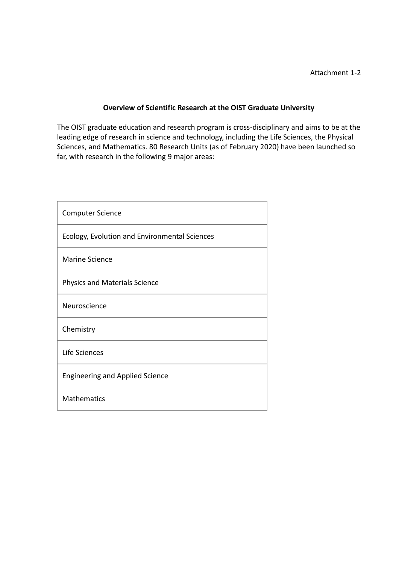## **Overview of Scientific Research at the OIST Graduate University**

The OIST graduate education and research program is cross-disciplinary and aims to be at the leading edge of research in science and technology, including the Life Sciences, the Physical Sciences, and Mathematics. 80 Research Units (as of February 2020) have been launched so far, with research in the following 9 major areas:

| <b>Computer Science</b>                       |  |  |
|-----------------------------------------------|--|--|
| Ecology, Evolution and Environmental Sciences |  |  |
| <b>Marine Science</b>                         |  |  |
| <b>Physics and Materials Science</b>          |  |  |
| Neuroscience                                  |  |  |
| Chemistry                                     |  |  |
| Life Sciences                                 |  |  |
| <b>Engineering and Applied Science</b>        |  |  |
| <b>Mathematics</b>                            |  |  |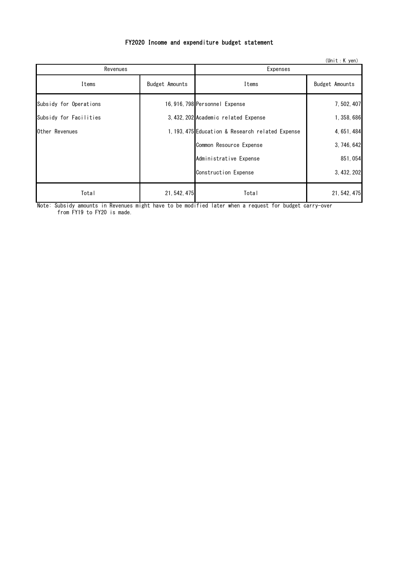## FY2020 Income and expenditure budget statement

| $(Unit : K$ yen)       |                |                                                  |                |  |
|------------------------|----------------|--------------------------------------------------|----------------|--|
| Revenues               |                | <b>Expenses</b>                                  |                |  |
| Items                  | Budget Amounts | Items                                            | Budget Amounts |  |
| Subsidy for Operations |                | 16, 916, 798 Personnel Expense                   | 7, 502, 407    |  |
| Subsidy for Facilities |                | 3, 432, 202 Academic related Expense             | 1, 358, 686    |  |
| Other Revenues         |                | 1, 193, 475 Education & Research related Expense | 4, 651, 484    |  |
|                        |                | Common Resource Expense                          | 3, 746, 642    |  |
|                        |                | Administrative Expense                           | 851,054        |  |
|                        |                | Construction Expense                             | 3, 432, 202    |  |
| Total                  | 21, 542, 475   | Total                                            | 21, 542, 475   |  |

Note: Subsidy amounts in Revenues might have to be modified later when a request for budget carry-over from FY19 to FY20 is made.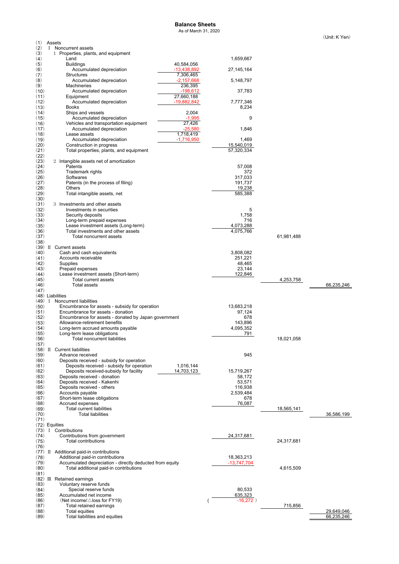#### **Balance Sheets**

As of March 31, 2020

(Unit:K Yen)

| (1)          |          | Assets                                                                                           |                      |            |                          |
|--------------|----------|--------------------------------------------------------------------------------------------------|----------------------|------------|--------------------------|
| (2)          | $\bf{I}$ | Noncurrent assets                                                                                |                      |            |                          |
| (3)<br>(4)   |          | 1 Properties, plants, and equipment<br>Land                                                      | 1,659,667            |            |                          |
| (5)          |          | 40,584,056<br><b>Buildings</b>                                                                   |                      |            |                          |
| (6)          |          | Accumulated depreciation<br>-13,438,892                                                          | 27,145,164           |            |                          |
| (7)          |          | Structures<br>7,306,465                                                                          |                      |            |                          |
| (8)          |          | $-2,157,668$<br>Accumulated depreciation                                                         | 5,148,797            |            |                          |
| (9)<br>(10)  |          | 236,395<br>Machineries<br>$-198,612$                                                             |                      |            |                          |
| (11)         |          | Accumulated depreciation<br>27,660,188<br>Equipment                                              | 37,783               |            |                          |
| (12)         |          | Accumulated depreciation<br>$-19,882,842$                                                        | 7,777,346            |            |                          |
| (13)         |          | Books                                                                                            | 8,234                |            |                          |
| (14)         |          | 2,004<br>Ships and vessels                                                                       |                      |            |                          |
| (15)         |          | Accumulated depreciation<br>$-1,995$                                                             | 9                    |            |                          |
| (16)         |          | 27,426<br>Vehicles and transportation equipment                                                  |                      |            |                          |
| (17)         |          | $-25,580$<br>Accumulated depreciation                                                            | 1,846                |            |                          |
| (18)<br>(19) |          | 1,718,419<br>Lease assets<br>$-1,716,950$<br>Accumulated depreciation                            | 1,469                |            |                          |
| (20)         |          | Construction in progress                                                                         | 15,540,019           |            |                          |
| (21)         |          | Total properties, plants, and equipment                                                          | 57,320,334           |            |                          |
| (22)         |          |                                                                                                  |                      |            |                          |
| (23)         |          | 2 Intangible assets net of amortization                                                          |                      |            |                          |
| (24)         |          | Patents                                                                                          | 57,008               |            |                          |
| (25)         |          | Trademark rights                                                                                 | 372                  |            |                          |
| (26)         |          | Softwares                                                                                        | 317,033              |            |                          |
| (27)<br>(28) |          | Patents (in the process of filing)<br><b>Others</b>                                              | 191,737<br>19,238    |            |                          |
| (29)         |          | Total intangible assets, net                                                                     | 585,388              |            |                          |
| (30)         |          |                                                                                                  |                      |            |                          |
| (31)         |          | 3 Investments and other assets                                                                   |                      |            |                          |
| (32)         |          | Investments in securities                                                                        | 5                    |            |                          |
| (33)         |          | Security deposits                                                                                | 1,758                |            |                          |
| (34)         |          | Long-term prepaid expenses                                                                       | 716                  |            |                          |
| (35)         |          | Lease investment assets (Long-term)                                                              | 4,073,288            |            |                          |
| (36)         |          | Total investments and other assets                                                               | 4,075,766            |            |                          |
| (37)         |          | Total noncurrent assets                                                                          |                      | 61,981,488 |                          |
| (38)<br>(39) |          | II Current assets                                                                                |                      |            |                          |
| (40)         |          | Cash and cash equivalents                                                                        | 3,808,082            |            |                          |
| (41)         |          | Accounts receivable                                                                              | 251,221              |            |                          |
| (42)         |          | Supplies                                                                                         | 48,465               |            |                          |
| (43)         |          | Prepaid expenses                                                                                 | 23,144               |            |                          |
|              |          |                                                                                                  |                      |            |                          |
| (44)         |          | Lease investment assets (Short-term)                                                             | 122,846              |            |                          |
| (45)         |          | Total current assets                                                                             |                      | 4,253,758  |                          |
| (46)         |          | <b>Total assets</b>                                                                              |                      |            | 66,235,246               |
| (47)         |          |                                                                                                  |                      |            |                          |
|              |          | (48) Liabilities                                                                                 |                      |            |                          |
| (49)         | $\bf{I}$ | Noncurrent liabilities                                                                           |                      |            |                          |
| (50)         |          | Encumbrance for assets - subsidy for operation                                                   | 13,683,218           |            |                          |
| (51)         |          | Encumbrance for assets - donation                                                                | 97,124               |            |                          |
| (52)         |          | Encumbrance for assets - donated by Japan government<br>Allowance-retirement benefits            | 678                  |            |                          |
| (53)<br>(54) |          | Long-term accrued amounts payable                                                                | 143,896<br>4,095,352 |            |                          |
| (55)         |          | Long-term lease obligations                                                                      | 791                  |            |                          |
| (56)         |          | <b>Total noncurrent liabilities</b>                                                              |                      | 18,021,058 |                          |
| (57)         |          |                                                                                                  |                      |            |                          |
| (58)         |          | II Current liabilities                                                                           |                      |            |                          |
| (59)         |          | Advance received                                                                                 | 945                  |            |                          |
| (60)         |          | Deposits received - subsidy for operation                                                        |                      |            |                          |
| (61)         |          | 1,016,144<br>Deposits received - subsidy for operation<br>Deposits received-subsidy for facility |                      |            |                          |
| (62)<br>(63) |          | 14,703,123<br>Deposits received - donation                                                       | 15,719,267<br>58,172 |            |                          |
| (64)         |          | Deposits received - Kakenhi                                                                      | 53,571               |            |                          |
| (65)         |          | Deposits received - others                                                                       | 116,938              |            |                          |
| (66)         |          | Accounts payable                                                                                 | 2,539,484            |            |                          |
| (67)         |          | Short-term lease obligations                                                                     | 678                  |            |                          |
| (68)         |          | Accrued expenses                                                                                 | 76,087               |            |                          |
| (69)         |          | Total current liabilities                                                                        |                      | 18,565,141 |                          |
| (70)         |          | <b>Total liabilities</b>                                                                         |                      |            | 36,586,199               |
| (71)         |          |                                                                                                  |                      |            |                          |
| (73)         |          | (72) Equities<br>I Contributions                                                                 |                      |            |                          |
| (74)         |          | Contributions from government                                                                    | 24,317,681           |            |                          |
| (75)         |          | <b>Total contributions</b>                                                                       |                      | 24,317,681 |                          |
| (76)         |          |                                                                                                  |                      |            |                          |
| (77)         |          | II Additional paid-in contributions                                                              |                      |            |                          |
| (78)         |          | Additional paid-in contributions                                                                 | 18,363,213           |            |                          |
| (79)         |          | Accumulated depreciation - directly deducted from equity                                         | $-13,747,704$        |            |                          |
| (80)         |          | Total additional paid-in contributions                                                           |                      | 4,615,509  |                          |
| (81)         |          |                                                                                                  |                      |            |                          |
| (82)         |          | III Retained earnings                                                                            |                      |            |                          |
| (83)         |          | Voluntary reserve funds                                                                          |                      |            |                          |
| (84)<br>(85) |          | Special reserve funds<br>Accumulated net income                                                  | 80,533<br>635,323    |            |                          |
| (86)         |          | (Net income/ $\triangle$ loss for FY19)                                                          | $-16,272)$           |            |                          |
| (87)         |          | Total retained earnings                                                                          |                      | 715,856    |                          |
| (88)<br>(89) |          | Total equities<br>Total liabilities and equities                                                 |                      |            | 29,649,046<br>66,235,246 |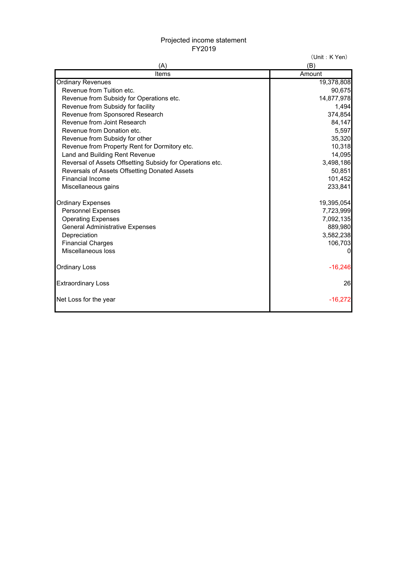## Projected income statement FY2019

(Unit: K Yen)

| (A)                                                       | (B)          |
|-----------------------------------------------------------|--------------|
| Items                                                     | Amount       |
| <b>Ordinary Revenues</b>                                  | 19,378,808   |
| Revenue from Tuition etc.                                 | 90,675       |
| Revenue from Subsidy for Operations etc.                  | 14,877,978   |
| Revenue from Subsidy for facility                         | 1,494        |
| Revenue from Sponsored Research                           | 374,854      |
| Revenue from Joint Research                               | 84,147       |
| Revenue from Donation etc.                                | 5,597        |
| Revenue from Subsidy for other                            | 35,320       |
| Revenue from Property Rent for Dormitory etc.             | 10,318       |
| Land and Building Rent Revenue                            | 14,095       |
| Reversal of Assets Offsetting Subsidy for Operations etc. | 3,498,186    |
| Reversals of Assets Offsetting Donated Assets             | 50,851       |
| <b>Financial Income</b>                                   | 101,452      |
| Miscellaneous gains                                       | 233,841      |
| <b>Ordinary Expenses</b>                                  | 19,395,054   |
| <b>Personnel Expenses</b>                                 | 7,723,999    |
| <b>Operating Expenses</b>                                 | 7,092,135    |
| <b>General Administrative Expenses</b>                    | 889,980      |
| Depreciation                                              | 3,582,238    |
| <b>Financial Charges</b>                                  | 106,703      |
| Miscellaneous loss                                        | $\mathbf{0}$ |
| <b>Ordinary Loss</b>                                      | $-16,246$    |
| <b>Extraordinary Loss</b>                                 | 26           |
| Net Loss for the year                                     | $-16,272$    |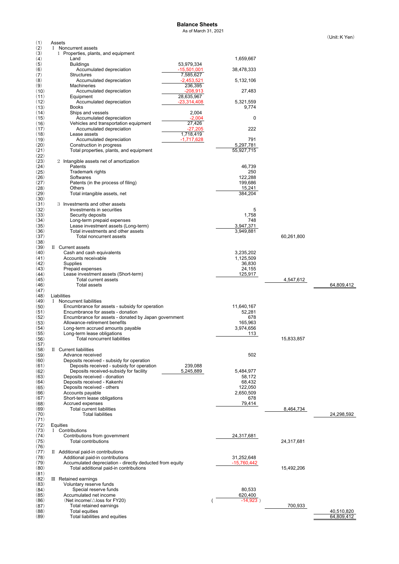## **Balance Sheets**

As of March 31, 2021

| (1)          | Assets                                                                                            |                        |            |                          |
|--------------|---------------------------------------------------------------------------------------------------|------------------------|------------|--------------------------|
| (2)          | I Noncurrent assets                                                                               |                        |            |                          |
| (3)<br>(4)   | 1 Properties, plants, and equipment<br>Land                                                       | 1,659,667              |            |                          |
| (5)          | 53,979,334<br><b>Buildings</b>                                                                    |                        |            |                          |
| (6)<br>(7)   | $-15,501,001$<br>Accumulated depreciation<br>Structures<br>7,585,627                              | 38,478,333             |            |                          |
| (8)          | $-2,453,521$<br>Accumulated depreciation                                                          | 5,132,106              |            |                          |
| (9)<br>(10)  | 236,395<br><b>Machineries</b><br>$-208,913$<br>Accumulated depreciation                           | 27,483                 |            |                          |
| (11)<br>(12) | 28,635,967<br>Equipment<br>$-23,314,408$<br>Accumulated depreciation                              | 5,321,559              |            |                          |
| (13)         | <b>Books</b>                                                                                      | 9,774                  |            |                          |
| (14)<br>(15) | Ships and vessels<br>2,004<br>Accumulated depreciation<br>$-2,004$                                | 0                      |            |                          |
| (16)         | 27,426<br>Vehicles and transportation equipment<br>$-27,205$                                      | 222                    |            |                          |
| (17)<br>(18) | Accumulated depreciation<br>1,718,419<br>Lease assets                                             |                        |            |                          |
| (19)<br>(20) | Accumulated depreciation<br>$-1,717,628$<br>Construction in progress                              | 791<br>5,297,781       |            |                          |
| (21)<br>(22) | Total properties, plants, and equipment                                                           | 55,927,715             |            |                          |
| (23)         | 2 Intangible assets net of amortization                                                           |                        |            |                          |
| (24)<br>(25) | Patents<br>Trademark rights                                                                       | 46,739<br>250          |            |                          |
| (26)         | Softwares                                                                                         | 122,288                |            |                          |
| (27)         | Patents (in the process of filing)                                                                | 199,686                |            |                          |
| (28)         | Others                                                                                            | 15,241                 |            |                          |
| (29)<br>(30) | Total intangible assets, net                                                                      | 384,204                |            |                          |
| (31)<br>(32) | 3 Investments and other assets<br>Investments in securities                                       | 5                      |            |                          |
| (33)         | Security deposits                                                                                 | 1,758                  |            |                          |
| (34)         | Long-term prepaid expenses                                                                        | 748                    |            |                          |
| (35)         | Lease investment assets (Long-term)                                                               | 3,947,371              |            |                          |
| (36)<br>(37) | Total investments and other assets<br>Total noncurrent assets                                     | 3,949,881              | 60,261,800 |                          |
| (38)         |                                                                                                   |                        |            |                          |
| (39)         | II Current assets                                                                                 |                        |            |                          |
| (40)<br>(41) | Cash and cash equivalents<br>Accounts receivable                                                  | 3,235,202<br>1,125,509 |            |                          |
| (42)         | Supplies                                                                                          | 36,830                 |            |                          |
| (43)         | Prepaid expenses                                                                                  | 24,155                 |            |                          |
|              |                                                                                                   |                        |            |                          |
| (44)         | Lease investment assets (Short-term)                                                              | 125,917                |            |                          |
| (45)         | Total current assets                                                                              |                        | 4,547,612  |                          |
| (46)<br>(47) | Total assets                                                                                      |                        |            | 64,809,412               |
| (48)         | Liabilities                                                                                       |                        |            |                          |
| (49)         | I Noncurrent liabilities                                                                          |                        |            |                          |
| (50)         | Encumbrance for assets - subsidy for operation                                                    | 11,640,167             |            |                          |
| (51)<br>(52) | Encumbrance for assets - donation<br>Encumbrance for assets - donated by Japan government         | 52,281<br>678          |            |                          |
| (53)         | Allowance-retirement benefits                                                                     | 165,963                |            |                          |
| (54)         | Long-term accrued amounts payable                                                                 | 3,974,656              |            |                          |
| (55)         | Long-term lease obligations                                                                       | 113                    |            |                          |
| (56)<br>(57) | Total noncurrent liabilities                                                                      |                        | 15,833,857 |                          |
| (58)         | II Current liabilities                                                                            |                        |            |                          |
| (59)         | Advance received                                                                                  | 502                    |            |                          |
| (60)<br>(61) | Deposits received - subsidy for operation<br>239,088<br>Deposits received - subsidy for operation |                        |            |                          |
| (62)         | Deposits received-subsidy for facility<br>5,245,889                                               | 5,484,977              |            |                          |
| (63)         | Deposits received - donation                                                                      | 58,172                 |            |                          |
| (64)         | Deposits received - Kakenhi<br>Deposits received - others                                         | 68,432<br>122,050      |            |                          |
| (65)<br>(66) | Accounts payable                                                                                  | 2,650,509              |            |                          |
| (67)         | Short-term lease obligations                                                                      | 678                    |            |                          |
| (68)         | Accrued expenses                                                                                  | 79,414                 |            |                          |
| (69)<br>(70) | <b>Total current liabilities</b><br><b>Total liabilities</b>                                      |                        | 8,464,734  | 24,298,592               |
| (71)         |                                                                                                   |                        |            |                          |
| (72)<br>(73) | Equities<br>I Contributions                                                                       |                        |            |                          |
| (74)         | Contributions from government                                                                     | 24,317,681             |            |                          |
| (75)         | Total contributions                                                                               |                        | 24,317,681 |                          |
| (76)         |                                                                                                   |                        |            |                          |
| (77)<br>(78) | II Additional paid-in contributions<br>Additional paid-in contributions                           | 31,252,648             |            |                          |
| (79)         | Accumulated depreciation - directly deducted from equity                                          | -15,760,442            |            |                          |
| (80)         | Total additional paid-in contributions                                                            |                        | 15,492,206 |                          |
| (81)<br>(82) | III Retained earnings                                                                             |                        |            |                          |
| (83)         | Voluntary reserve funds                                                                           |                        |            |                          |
| (84)         | Special reserve funds                                                                             | 80,533                 |            |                          |
| (85)<br>(86) | Accumulated net income                                                                            | 620,400                |            |                          |
| (87)         | (Net income/ $\triangle$ loss for FY20)<br>Total retained earnings                                | $-14,923)$             | 700,933    |                          |
| (88)<br>(89) | <b>Total equities</b><br>Total liabilities and equities                                           |                        |            | 40,510,820<br>64,809,412 |